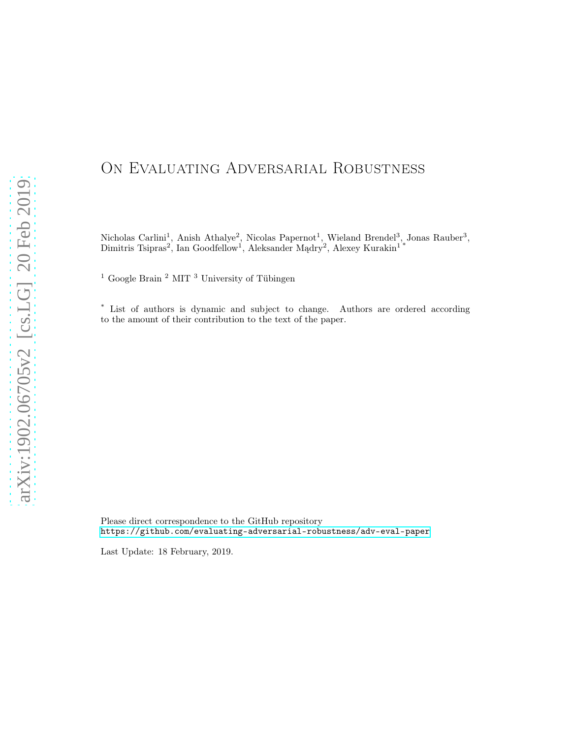# ON EVALUATING ADVERSARIAL ROBUSTNESS

Nicholas Carlini<sup>1</sup>, Anish Athalye<sup>2</sup>, Nicolas Papernot<sup>1</sup>, Wieland Brendel<sup>3</sup>, Jonas Rauber<sup>3</sup>, Dimitris Tsipras<sup>2</sup>, Ian Goodfellow<sup>1</sup>, Aleksander Mądry<sup>2</sup>, Alexey Kurakin<sup>1\*</sup>

 $^1$  Google Brain  $^2$  MIT  $^3$  University of Tübingen

\* List of authors is dynamic and subject to change. Authors are ordered according to the amount of their contribution to the text of the paper.

Please direct correspondence to the GitHub repository <https://github.com/evaluating-adversarial-robustness/adv-eval-paper>

Last Update: 18 February, 2019.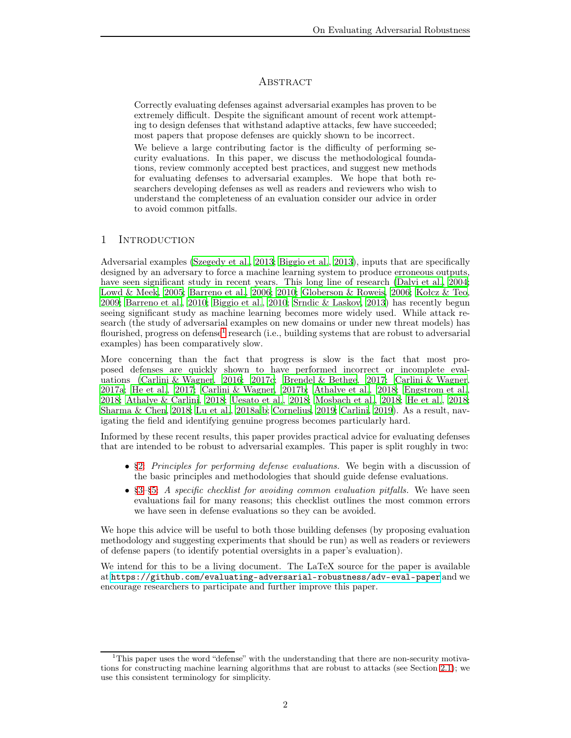# **ABSTRACT**

Correctly evaluating defenses against adversarial examples has proven to be extremely difficult. Despite the significant amount of recent work attempting to design defenses that withstand adaptive attacks, few have succeeded; most papers that propose defenses are quickly shown to be incorrect.

We believe a large contributing factor is the difficulty of performing security evaluations. In this paper, we discuss the methodological foundations, review commonly accepted best practices, and suggest new methods for evaluating defenses to adversarial examples. We hope that both researchers developing defenses as well as readers and reviewers who wish to understand the completeness of an evaluation consider our advice in order to avoid common pitfalls.

# 1 INTRODUCTION

Adversarial examples [\(Szegedy et al.](#page-22-0), [2013;](#page-22-0) [Biggio et al.](#page-19-0), [2013\)](#page-19-0), inputs that are specifically designed by an adversary to force a machine learning system to produce erroneous outputs, have seen significant study in recent years. This long line of research [\(Dalvi et al.](#page-20-0), [2004](#page-20-0); [Lowd & Meek](#page-21-0), [2005](#page-21-0); [Barreno et al.](#page-19-1), [2006](#page-19-1); [2010](#page-19-2); [Globerson & Roweis, 2006;](#page-20-1) [Kołcz & Teo](#page-21-1), [2009;](#page-21-1) [Barreno et al., 2010;](#page-19-2) [Biggio et al.](#page-19-3), [2010;](#page-19-3) [Šrndic & Laskov, 2013\)](#page-22-1) has recently begun seeing significant study as machine learning becomes more widely used. While attack research (the study of adversarial examples on new domains or under new threat models) has flourished, progress on defense<sup>[1](#page-1-0)</sup> research (i.e., building systems that are robust to adversarial examples) has been comparatively slow.

More concerning than the fact that progress is slow is the fact that most proposed defenses are quickly shown to have performed incorrect or incomplete evaluations [\(Carlini & Wagner, 2016](#page-19-4); [2017c](#page-19-5); [Brendel & Bethge, 2017](#page-19-6); [Carlini & Wagner](#page-19-7), [2017a;](#page-19-7) [He et al.](#page-20-2), [2017;](#page-20-2) [Carlini & Wagner, 2017b](#page-19-8); [Athalye et al.](#page-19-9), [2018;](#page-19-9) [Engstrom et al.](#page-20-3), [2018;](#page-20-3) [Athalye & Carlini](#page-19-10), [2018;](#page-19-10) [Uesato et al.](#page-23-0), [2018;](#page-23-0) [Mosbach et al., 2018](#page-22-2); [He et al., 2018](#page-20-4); [Sharma & Chen](#page-22-3), [2018](#page-22-3); [Lu et al.](#page-21-2), [2018a](#page-21-2)[;b](#page-21-3); [Cornelius, 2019;](#page-20-5) [Carlini](#page-19-11), [2019](#page-19-11)). As a result, navigating the field and identifying genuine progress becomes particularly hard.

Informed by these recent results, this paper provides practical advice for evaluating defenses that are intended to be robust to adversarial examples. This paper is split roughly in two:

- [§2:](#page-2-0) Principles for performing defense evaluations. We begin with a discussion of the basic principles and methodologies that should guide defense evaluations.
- §3-[§5:](#page-16-0) A specific checklist for avoiding common evaluation pitfalls. We have seen evaluations fail for many reasons; this checklist outlines the most common errors we have seen in defense evaluations so they can be avoided.

We hope this advice will be useful to both those building defenses (by proposing evaluation methodology and suggesting experiments that should be run) as well as readers or reviewers of defense papers (to identify potential oversights in a paper's evaluation).

We intend for this to be a living document. The LaTeX source for the paper is available at <https://github.com/evaluating-adversarial-robustness/adv-eval-paper> and we encourage researchers to participate and further improve this paper.

<span id="page-1-0"></span><sup>&</sup>lt;sup>1</sup>This paper uses the word "defense" with the understanding that there are non-security motivations for constructing machine learning algorithms that are robust to attacks (see Section [2.1\)](#page-2-1); we use this consistent terminology for simplicity.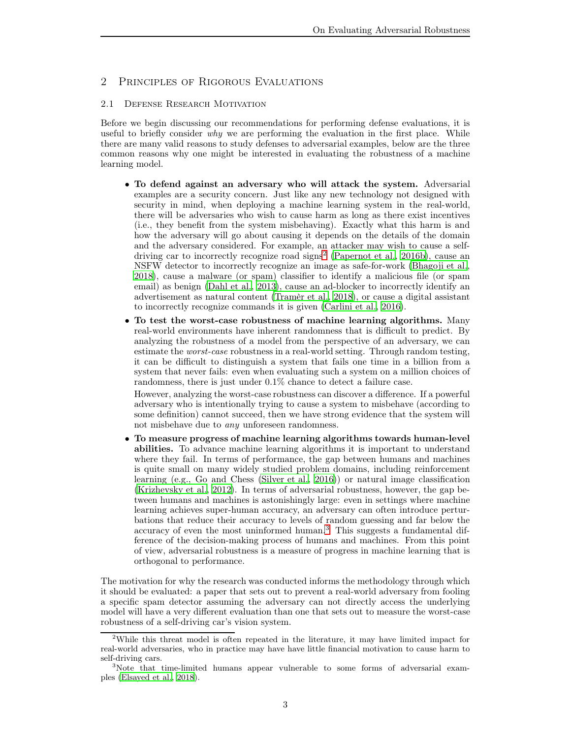# <span id="page-2-1"></span><span id="page-2-0"></span>2 Principles of Rigorous Evaluations

#### 2.1 Defense Research Motivation

Before we begin discussing our recommendations for performing defense evaluations, it is useful to briefly consider  $why$  we are performing the evaluation in the first place. While there are many valid reasons to study defenses to adversarial examples, below are the three common reasons why one might be interested in evaluating the robustness of a machine learning model.

- To defend against an adversary who will attack the system. Adversarial examples are a security concern. Just like any new technology not designed with security in mind, when deploying a machine learning system in the real-world, there will be adversaries who wish to cause harm as long as there exist incentives (i.e., they benefit from the system misbehaving). Exactly what this harm is and how the adversary will go about causing it depends on the details of the domain and the adversary considered. For example, an attacker may wish to cause a self-driving car to incorrectly recognize road signs<sup>[2](#page-2-2)</sup> [\(Papernot et al., 2016b\)](#page-22-4), cause an NSFW detector to incorrectly recognize an image as safe-for-work [\(Bhagoji et al.](#page-19-12), [2018\)](#page-19-12), cause a malware (or spam) classifier to identify a malicious file (or spam email) as benign [\(Dahl et al., 2013\)](#page-20-6), cause an ad-blocker to incorrectly identify an advertisement as natural content [\(Tramèr et al., 2018](#page-23-1)), or cause a digital assistant to incorrectly recognize commands it is given [\(Carlini et al.](#page-19-13), [2016\)](#page-19-13).
- To test the worst-case robustness of machine learning algorithms. Many real-world environments have inherent randomness that is difficult to predict. By analyzing the robustness of a model from the perspective of an adversary, we can estimate the worst-case robustness in a real-world setting. Through random testing, it can be difficult to distinguish a system that fails one time in a billion from a system that never fails: even when evaluating such a system on a million choices of randomness, there is just under 0.1% chance to detect a failure case.

However, analyzing the worst-case robustness can discover a difference. If a powerful adversary who is intentionally trying to cause a system to misbehave (according to some definition) cannot succeed, then we have strong evidence that the system will not misbehave due to any unforeseen randomness.

• To measure progress of machine learning algorithms towards human-level abilities. To advance machine learning algorithms it is important to understand where they fail. In terms of performance, the gap between humans and machines is quite small on many widely studied problem domains, including reinforcement learning (e.g., Go and Chess [\(Silver et al.](#page-22-5), [2016\)](#page-22-5)) or natural image classification [\(Krizhevsky et al., 2012\)](#page-21-4). In terms of adversarial robustness, however, the gap between humans and machines is astonishingly large: even in settings where machine learning achieves super-human accuracy, an adversary can often introduce perturbations that reduce their accuracy to levels of random guessing and far below the accuracy of even the most uninformed human.[3](#page-2-3) This suggests a fundamental difference of the decision-making process of humans and machines. From this point of view, adversarial robustness is a measure of progress in machine learning that is orthogonal to performance.

The motivation for why the research was conducted informs the methodology through which it should be evaluated: a paper that sets out to prevent a real-world adversary from fooling a specific spam detector assuming the adversary can not directly access the underlying model will have a very different evaluation than one that sets out to measure the worst-case robustness of a self-driving car's vision system.

<span id="page-2-2"></span><sup>2</sup>While this threat model is often repeated in the literature, it may have limited impact for real-world adversaries, who in practice may have have little financial motivation to cause harm to self-driving cars.

<span id="page-2-3"></span><sup>3</sup>Note that time-limited humans appear vulnerable to some forms of adversarial examples [\(Elsayed et al.](#page-20-7), [2018](#page-20-7)).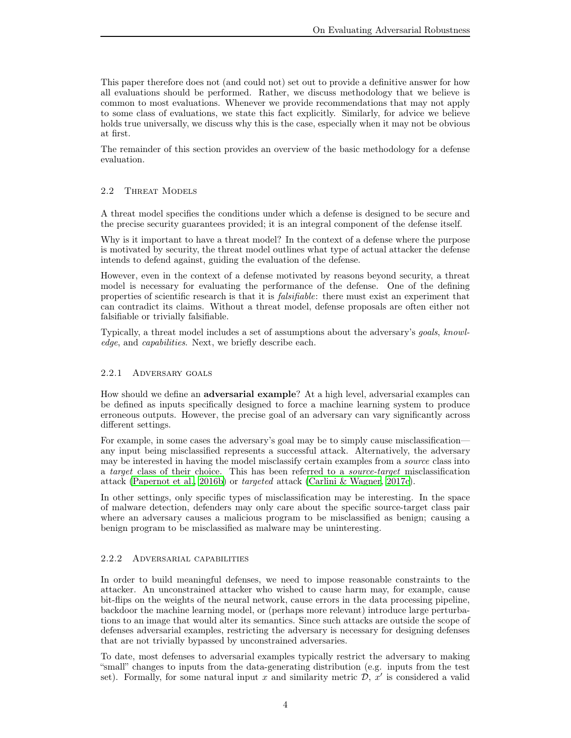This paper therefore does not (and could not) set out to provide a definitive answer for how all evaluations should be performed. Rather, we discuss methodology that we believe is common to most evaluations. Whenever we provide recommendations that may not apply to some class of evaluations, we state this fact explicitly. Similarly, for advice we believe holds true universally, we discuss why this is the case, especially when it may not be obvious at first.

The remainder of this section provides an overview of the basic methodology for a defense evaluation.

## <span id="page-3-0"></span>2.2 Threat Models

A threat model specifies the conditions under which a defense is designed to be secure and the precise security guarantees provided; it is an integral component of the defense itself.

Why is it important to have a threat model? In the context of a defense where the purpose is motivated by security, the threat model outlines what type of actual attacker the defense intends to defend against, guiding the evaluation of the defense.

However, even in the context of a defense motivated by reasons beyond security, a threat model is necessary for evaluating the performance of the defense. One of the defining properties of scientific research is that it is falsifiable: there must exist an experiment that can contradict its claims. Without a threat model, defense proposals are often either not falsifiable or trivially falsifiable.

Typically, a threat model includes a set of assumptions about the adversary's goals, knowledge, and capabilities. Next, we briefly describe each.

#### 2.2.1 Adversary goals

How should we define an adversarial example? At a high level, adversarial examples can be defined as inputs specifically designed to force a machine learning system to produce erroneous outputs. However, the precise goal of an adversary can vary significantly across different settings.

For example, in some cases the adversary's goal may be to simply cause misclassification any input being misclassified represents a successful attack. Alternatively, the adversary may be interested in having the model misclassify certain examples from a source class into a target class of their choice. This has been referred to a source-target misclassification attack [\(Papernot et al., 2016b\)](#page-22-4) or targeted attack [\(Carlini & Wagner, 2017c](#page-19-5)).

In other settings, only specific types of misclassification may be interesting. In the space of malware detection, defenders may only care about the specific source-target class pair where an adversary causes a malicious program to be misclassified as benign; causing a benign program to be misclassified as malware may be uninteresting.

## 2.2.2 Adversarial capabilities

In order to build meaningful defenses, we need to impose reasonable constraints to the attacker. An unconstrained attacker who wished to cause harm may, for example, cause bit-flips on the weights of the neural network, cause errors in the data processing pipeline, backdoor the machine learning model, or (perhaps more relevant) introduce large perturbations to an image that would alter its semantics. Since such attacks are outside the scope of defenses adversarial examples, restricting the adversary is necessary for designing defenses that are not trivially bypassed by unconstrained adversaries.

To date, most defenses to adversarial examples typically restrict the adversary to making "small" changes to inputs from the data-generating distribution (e.g. inputs from the test set). Formally, for some natural input x and similarity metric  $\mathcal{D}, \mathbf{x}'$  is considered a valid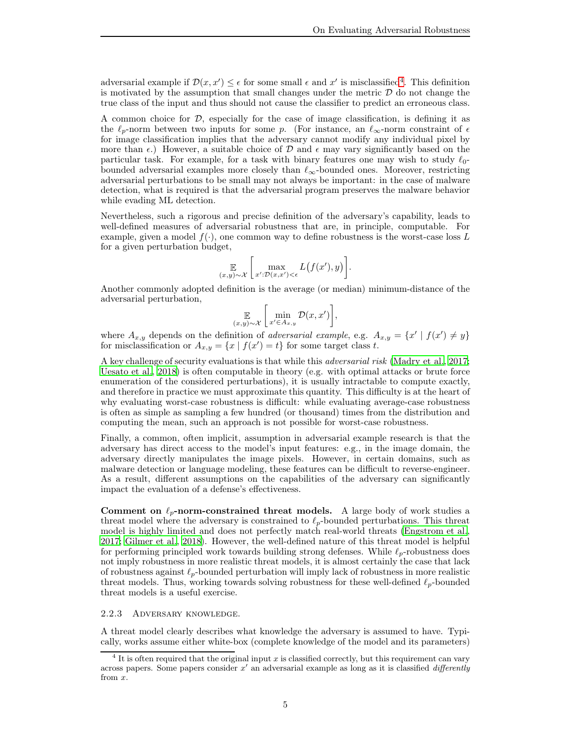adversarial example if  $\mathcal{D}(x, x') \leq \epsilon$  for some small  $\epsilon$  and  $x'$  is misclassified<sup>[4](#page-4-0)</sup>. This definition is motivated by the assumption that small changes under the metric  $D$  do not change the true class of the input and thus should not cause the classifier to predict an erroneous class.

A common choice for  $D$ , especially for the case of image classification, is defining it as the  $\ell_p$ -norm between two inputs for some p. (For instance, an  $\ell_\infty$ -norm constraint of  $\epsilon$ for image classification implies that the adversary cannot modify any individual pixel by more than  $\epsilon$ .) However, a suitable choice of D and  $\epsilon$  may vary significantly based on the particular task. For example, for a task with binary features one may wish to study  $\ell_0$ bounded adversarial examples more closely than  $\ell_{\infty}$ -bounded ones. Moreover, restricting adversarial perturbations to be small may not always be important: in the case of malware detection, what is required is that the adversarial program preserves the malware behavior while evading ML detection.

Nevertheless, such a rigorous and precise definition of the adversary's capability, leads to well-defined measures of adversarial robustness that are, in principle, computable. For example, given a model  $f(\cdot)$ , one common way to define robustness is the worst-case loss L for a given perturbation budget,

$$
\mathop{\mathbb{E}}_{(x,y)\sim\mathcal{X}}\bigg[\max_{x':\mathcal{D}(x,x')<\epsilon}L(f(x'),y)\bigg].
$$

Another commonly adopted definition is the average (or median) minimum-distance of the adversarial perturbation,

$$
\mathbb{E}\left[\min_{(x,y)\sim\mathcal{X}}\left[\min_{x'\in A_{x,y}}\mathcal{D}(x,x')\right],\right]
$$

where  $A_{x,y}$  depends on the definition of adversarial example, e.g.  $A_{x,y} = \{x' \mid f(x') \neq y\}$ for misclassification or  $A_{x,y} = \{x \mid f(x') = t\}$  for some target class t.

A key challenge of security evaluations is that while this adversarial risk [\(Madry et al.](#page-21-5), [2017](#page-21-5); [Uesato et al.](#page-23-0), [2018](#page-23-0)) is often computable in theory (e.g. with optimal attacks or brute force enumeration of the considered perturbations), it is usually intractable to compute exactly, and therefore in practice we must approximate this quantity. This difficulty is at the heart of why evaluating worst-case robustness is difficult: while evaluating average-case robustness is often as simple as sampling a few hundred (or thousand) times from the distribution and computing the mean, such an approach is not possible for worst-case robustness.

Finally, a common, often implicit, assumption in adversarial example research is that the adversary has direct access to the model's input features: e.g., in the image domain, the adversary directly manipulates the image pixels. However, in certain domains, such as malware detection or language modeling, these features can be difficult to reverse-engineer. As a result, different assumptions on the capabilities of the adversary can significantly impact the evaluation of a defense's effectiveness.

Comment on  $\ell_p$ -norm-constrained threat models. A large body of work studies a threat model where the adversary is constrained to  $\ell_p$ -bounded perturbations. This threat model is highly limited and does not perfectly match real-world threats [\(Engstrom et al.](#page-20-8), [2017;](#page-20-8) [Gilmer et al., 2018\)](#page-20-9). However, the well-defined nature of this threat model is helpful for performing principled work towards building strong defenses. While  $\ell_p$ -robustness does not imply robustness in more realistic threat models, it is almost certainly the case that lack of robustness against  $\ell_p$ -bounded perturbation will imply lack of robustness in more realistic threat models. Thus, working towards solving robustness for these well-defined  $\ell_p$ -bounded threat models is a useful exercise.

#### 2.2.3 Adversary knowledge.

A threat model clearly describes what knowledge the adversary is assumed to have. Typically, works assume either white-box (complete knowledge of the model and its parameters)

<span id="page-4-0"></span><sup>&</sup>lt;sup>4</sup> It is often required that the original input x is classified correctly, but this requirement can vary across papers. Some papers consider  $x'$  an adversarial example as long as it is classified *differently* from x.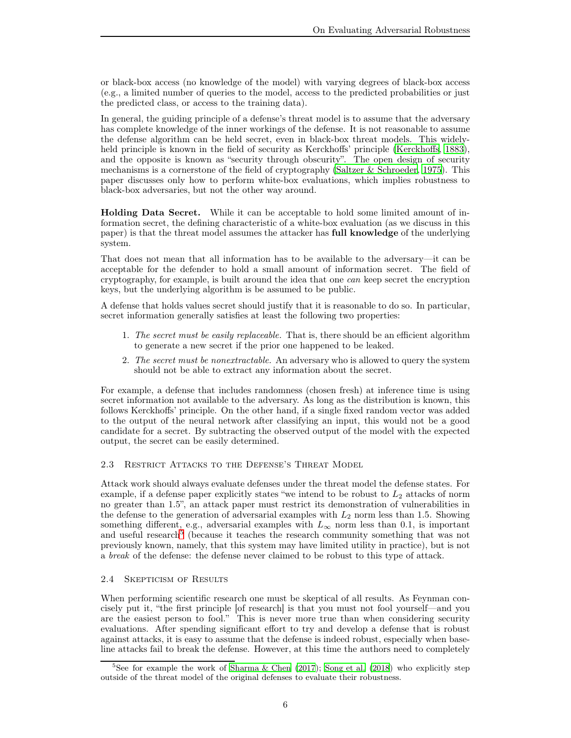or black-box access (no knowledge of the model) with varying degrees of black-box access (e.g., a limited number of queries to the model, access to the predicted probabilities or just the predicted class, or access to the training data).

In general, the guiding principle of a defense's threat model is to assume that the adversary has complete knowledge of the inner workings of the defense. It is not reasonable to assume the defense algorithm can be held secret, even in black-box threat models. This widely-held principle is known in the field of security as Kerckhoffs' principle [\(Kerckhoffs, 1883\)](#page-21-6), and the opposite is known as "security through obscurity". The open design of security mechanisms is a cornerstone of the field of cryptography [\(Saltzer & Schroeder, 1975\)](#page-22-6). This paper discusses only how to perform white-box evaluations, which implies robustness to black-box adversaries, but not the other way around.

Holding Data Secret. While it can be acceptable to hold some limited amount of information secret, the defining characteristic of a white-box evaluation (as we discuss in this paper) is that the threat model assumes the attacker has full knowledge of the underlying system.

That does not mean that all information has to be available to the adversary—it can be acceptable for the defender to hold a small amount of information secret. The field of cryptography, for example, is built around the idea that one can keep secret the encryption keys, but the underlying algorithm is be assumed to be public.

A defense that holds values secret should justify that it is reasonable to do so. In particular, secret information generally satisfies at least the following two properties:

- 1. The secret must be easily replaceable. That is, there should be an efficient algorithm to generate a new secret if the prior one happened to be leaked.
- 2. The secret must be nonextractable. An adversary who is allowed to query the system should not be able to extract any information about the secret.

For example, a defense that includes randomness (chosen fresh) at inference time is using secret information not available to the adversary. As long as the distribution is known, this follows Kerckhoffs' principle. On the other hand, if a single fixed random vector was added to the output of the neural network after classifying an input, this would not be a good candidate for a secret. By subtracting the observed output of the model with the expected output, the secret can be easily determined.

## 2.3 Restrict Attacks to the Defense's Threat Model

Attack work should always evaluate defenses under the threat model the defense states. For example, if a defense paper explicitly states "we intend to be robust to  $L_2$  attacks of norm no greater than 1.5", an attack paper must restrict its demonstration of vulnerabilities in the defense to the generation of adversarial examples with  $L_2$  norm less than 1.5. Showing something different, e.g., adversarial examples with  $L_{\infty}$  norm less than 0.1, is important and useful research<sup>[5](#page-5-0)</sup> (because it teaches the research community something that was not previously known, namely, that this system may have limited utility in practice), but is not a break of the defense: the defense never claimed to be robust to this type of attack.

# 2.4 Skepticism of Results

When performing scientific research one must be skeptical of all results. As Feynman concisely put it, "the first principle [of research] is that you must not fool yourself—and you are the easiest person to fool." This is never more true than when considering security evaluations. After spending significant effort to try and develop a defense that is robust against attacks, it is easy to assume that the defense is indeed robust, especially when baseline attacks fail to break the defense. However, at this time the authors need to completely

<span id="page-5-0"></span><sup>&</sup>lt;sup>5</sup>See for example the work of Sharma & Chen  $(2017)$ ; Song et al.  $(2018)$  who explicitly step outside of the threat model of the original defenses to evaluate their robustness.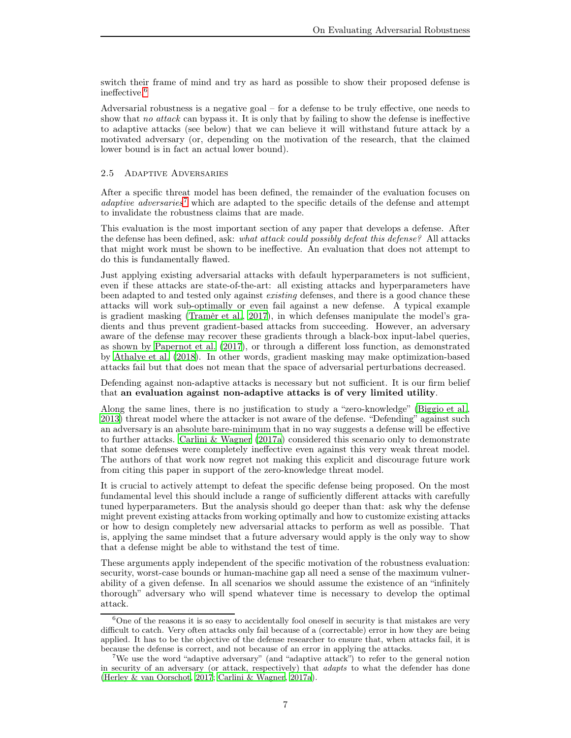switch their frame of mind and try as hard as possible to show their proposed defense is ineffective.[6](#page-6-0)

Adversarial robustness is a negative goal – for a defense to be truly effective, one needs to show that no attack can bypass it. It is only that by failing to show the defense is ineffective to adaptive attacks (see below) that we can believe it will withstand future attack by a motivated adversary (or, depending on the motivation of the research, that the claimed lower bound is in fact an actual lower bound).

#### <span id="page-6-2"></span>2.5 Adaptive Adversaries

After a specific threat model has been defined, the remainder of the evaluation focuses on adaptive adversaries<sup>[7](#page-6-1)</sup> which are adapted to the specific details of the defense and attempt to invalidate the robustness claims that are made.

This evaluation is the most important section of any paper that develops a defense. After the defense has been defined, ask: what attack could possibly defeat this defense? All attacks that might work must be shown to be ineffective. An evaluation that does not attempt to do this is fundamentally flawed.

Just applying existing adversarial attacks with default hyperparameters is not sufficient, even if these attacks are state-of-the-art: all existing attacks and hyperparameters have been adapted to and tested only against existing defenses, and there is a good chance these attacks will work sub-optimally or even fail against a new defense. A typical example is gradient masking [\(Tramèr et al., 2017\)](#page-23-2), in which defenses manipulate the model's gradients and thus prevent gradient-based attacks from succeeding. However, an adversary aware of the defense may recover these gradients through a black-box input-label queries, as shown by [Papernot et al. \(2017](#page-22-9)), or through a different loss function, as demonstrated by [Athalye et al. \(2018\)](#page-19-9). In other words, gradient masking may make optimization-based attacks fail but that does not mean that the space of adversarial perturbations decreased.

Defending against non-adaptive attacks is necessary but not sufficient. It is our firm belief that an evaluation against non-adaptive attacks is of very limited utility.

Along the same lines, there is no justification to study a "zero-knowledge" [\(Biggio et al.](#page-19-0), [2013\)](#page-19-0) threat model where the attacker is not aware of the defense. "Defending" against such an adversary is an absolute bare-minimum that in no way suggests a defense will be effective to further attacks. [Carlini & Wagner \(2017a](#page-19-7)) considered this scenario only to demonstrate that some defenses were completely ineffective even against this very weak threat model. The authors of that work now regret not making this explicit and discourage future work from citing this paper in support of the zero-knowledge threat model.

It is crucial to actively attempt to defeat the specific defense being proposed. On the most fundamental level this should include a range of sufficiently different attacks with carefully tuned hyperparameters. But the analysis should go deeper than that: ask why the defense might prevent existing attacks from working optimally and how to customize existing attacks or how to design completely new adversarial attacks to perform as well as possible. That is, applying the same mindset that a future adversary would apply is the only way to show that a defense might be able to withstand the test of time.

These arguments apply independent of the specific motivation of the robustness evaluation: security, worst-case bounds or human-machine gap all need a sense of the maximum vulnerability of a given defense. In all scenarios we should assume the existence of an "infinitely thorough" adversary who will spend whatever time is necessary to develop the optimal attack.

<span id="page-6-0"></span> $6$ One of the reasons it is so easy to accidentally fool oneself in security is that mistakes are very difficult to catch. Very often attacks only fail because of a (correctable) error in how they are being applied. It has to be the objective of the defense researcher to ensure that, when attacks fail, it is because the defense is correct, and not because of an error in applying the attacks.

<span id="page-6-1"></span><sup>7</sup>We use the word "adaptive adversary" (and "adaptive attack") to refer to the general notion in security of an adversary (or attack, respectively) that adapts to what the defender has done [\(Herley & van Oorschot](#page-20-10), [2017](#page-20-10); [Carlini & Wagner, 2017a](#page-19-7)).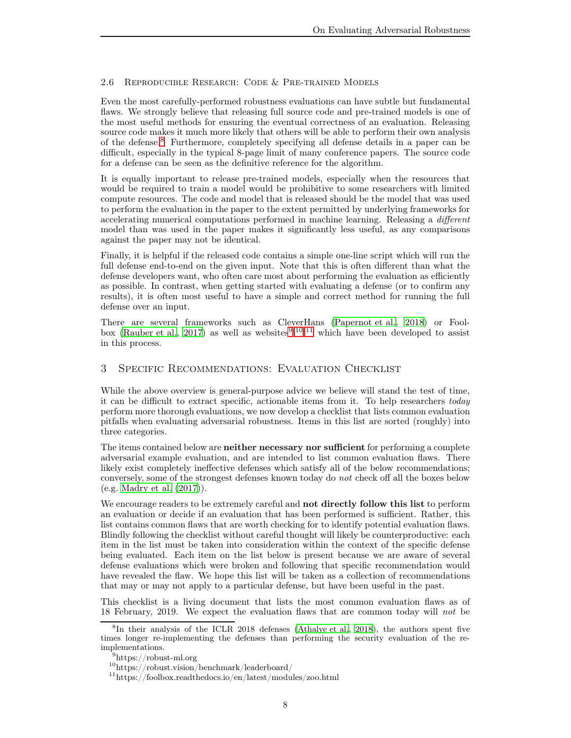## <span id="page-7-5"></span>2.6 Reproducible Research: Code & Pre-trained Models

Even the most carefully-performed robustness evaluations can have subtle but fundamental flaws. We strongly believe that releasing full source code and pre-trained models is one of the most useful methods for ensuring the eventual correctness of an evaluation. Releasing source code makes it much more likely that others will be able to perform their own analysis of the defense.[8](#page-7-1) Furthermore, completely specifying all defense details in a paper can be difficult, especially in the typical 8-page limit of many conference papers. The source code for a defense can be seen as the definitive reference for the algorithm.

It is equally important to release pre-trained models, especially when the resources that would be required to train a model would be prohibitive to some researchers with limited compute resources. The code and model that is released should be the model that was used to perform the evaluation in the paper to the extent permitted by underlying frameworks for accelerating numerical computations performed in machine learning. Releasing a different model than was used in the paper makes it significantly less useful, as any comparisons against the paper may not be identical.

Finally, it is helpful if the released code contains a simple one-line script which will run the full defense end-to-end on the given input. Note that this is often different than what the defense developers want, who often care most about performing the evaluation as efficiently as possible. In contrast, when getting started with evaluating a defense (or to confirm any results), it is often most useful to have a simple and correct method for running the full defense over an input.

There are several frameworks such as CleverHans [\(Papernot et al.](#page-22-10), [2018\)](#page-22-10) or Fool-box [\(Rauber et al., 2017\)](#page-22-11) as well as websites<sup>[9](#page-7-2)[,10](#page-7-3)[,11](#page-7-4)</sup> which have been developed to assist in this process.

# <span id="page-7-0"></span>3 Specific Recommendations: Evaluation Checklist

While the above overview is general-purpose advice we believe will stand the test of time, it can be difficult to extract specific, actionable items from it. To help researchers today perform more thorough evaluations, we now develop a checklist that lists common evaluation pitfalls when evaluating adversarial robustness. Items in this list are sorted (roughly) into three categories.

The items contained below are **neither necessary nor sufficient** for performing a complete adversarial example evaluation, and are intended to list common evaluation flaws. There likely exist completely ineffective defenses which satisfy all of the below recommendations; conversely, some of the strongest defenses known today do not check off all the boxes below (e.g. [Madry et al. \(2017\)](#page-21-5)).

We encourage readers to be extremely careful and **not directly follow this list** to perform an evaluation or decide if an evaluation that has been performed is sufficient. Rather, this list contains common flaws that are worth checking for to identify potential evaluation flaws. Blindly following the checklist without careful thought will likely be counterproductive: each item in the list must be taken into consideration within the context of the specific defense being evaluated. Each item on the list below is present because we are aware of several defense evaluations which were broken and following that specific recommendation would have revealed the flaw. We hope this list will be taken as a collection of recommendations that may or may not apply to a particular defense, but have been useful in the past.

This checklist is a living document that lists the most common evaluation flaws as of 18 February, 2019. We expect the evaluation flaws that are common today will not be

<span id="page-7-1"></span><sup>&</sup>lt;sup>8</sup>In their analysis of the ICLR 2018 defenses [\(Athalye et al.](#page-19-9), [2018\)](#page-19-9), the authors spent five times longer re-implementing the defenses than performing the security evaluation of the reimplementations.

<sup>9</sup> https://robust-ml.org

<span id="page-7-2"></span> $10\,\mathrm{https://robust.vision/benchmark/leaderboard/}$ 

<span id="page-7-4"></span><span id="page-7-3"></span><sup>11</sup>https://foolbox.readthedocs.io/en/latest/modules/zoo.html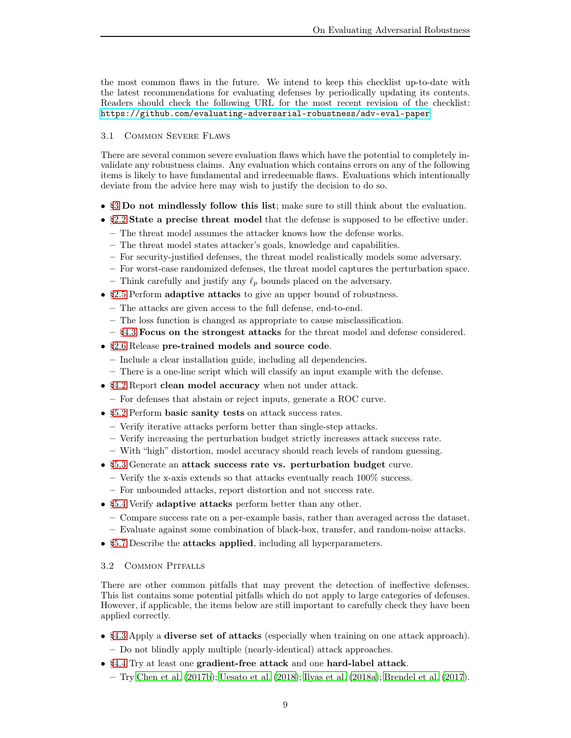the most common flaws in the future. We intend to keep this checklist up-to-date with the latest recommendations for evaluating defenses by periodically updating its contents. Readers should check the following URL for the most recent revision of the checklist: <https://github.com/evaluating-adversarial-robustness/adv-eval-paper>.

## 3.1 Common Severe Flaws

There are several common severe evaluation flaws which have the potential to completely invalidate any robustness claims. Any evaluation which contains errors on any of the following items is likely to have fundamental and irredeemable flaws. Evaluations which intentionally deviate from the advice here may wish to justify the decision to do so.

- [§3](#page-7-0) Do not mindlessly follow this list; make sure to still think about the evaluation.
- [§2.2](#page-3-0) State a precise threat model that the defense is supposed to be effective under.
	- The threat model assumes the attacker knows how the defense works.
	- The threat model states attacker's goals, knowledge and capabilities.
	- For security-justified defenses, the threat model realistically models some adversary.
	- For worst-case randomized defenses, the threat model captures the perturbation space.
	- Think carefully and justify any  $\ell_p$  bounds placed on the adversary.
- [§2.5](#page-6-2) Perform adaptive attacks to give an upper bound of robustness.
	- The attacks are given access to the full defense, end-to-end.
	- The loss function is changed as appropriate to cause misclassification.
	- [§4.3](#page-10-0) Focus on the strongest attacks for the threat model and defense considered.
- [§2.6](#page-7-5) Release pre-trained models and source code.
	- Include a clear installation guide, including all dependencies.
	- There is a one-line script which will classify an input example with the defense.
- [§4.2](#page-10-1) Report clean model accuracy when not under attack.
	- For defenses that abstain or reject inputs, generate a ROC curve.
- [§5.2](#page-16-1) Perform basic sanity tests on attack success rates.
	- Verify iterative attacks perform better than single-step attacks.
	- Verify increasing the perturbation budget strictly increases attack success rate.
	- With "high" distortion, model accuracy should reach levels of random guessing.
- [§5.3](#page-17-0) Generate an attack success rate vs. perturbation budget curve.
	- $-$  Verify the x-axis extends so that attacks eventually reach  $100\%$  success.
- For unbounded attacks, report distortion and not success rate.
- [§5.4](#page-17-1) Verify adaptive attacks perform better than any other.
	- Compare success rate on a per-example basis, rather than averaged across the dataset.
	- Evaluate against some combination of black-box, transfer, and random-noise attacks.
- [§5.7](#page-18-0) Describe the **attacks applied**, including all hyperparameters.

## 3.2 Common Pitfalls

There are other common pitfalls that may prevent the detection of ineffective defenses. This list contains some potential pitfalls which do not apply to large categories of defenses. However, if applicable, the items below are still important to carefully check they have been applied correctly.

- [§4.3](#page-10-0) Apply a diverse set of attacks (especially when training on one attack approach).
	- Do not blindly apply multiple (nearly-identical) attack approaches.
- [§4.4](#page-12-0) Try at least one gradient-free attack and one hard-label attack.
	- Try [Chen et al. \(2017b\)](#page-20-11); [Uesato et al. \(2018\)](#page-23-0); [Ilyas et al. \(2018a\)](#page-21-7); [Brendel et al. \(2017\)](#page-19-14).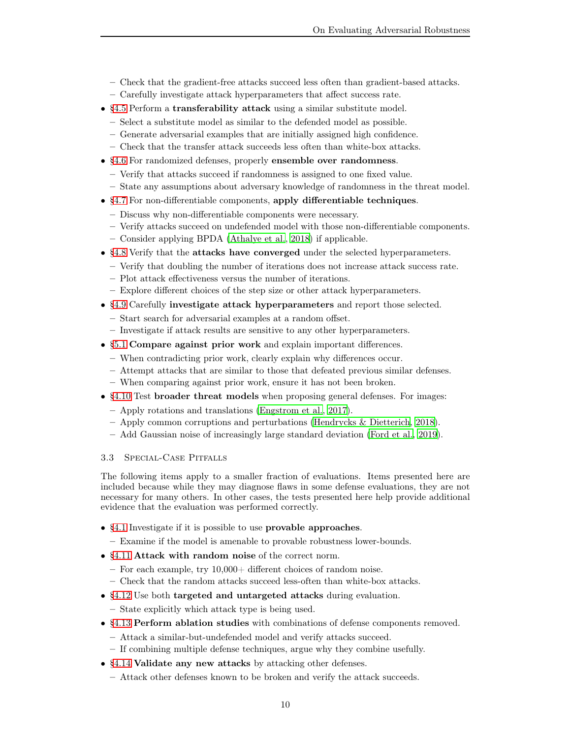- Check that the gradient-free attacks succeed less often than gradient-based attacks.
- Carefully investigate attack hyperparameters that affect success rate.
- [§4.5](#page-12-1) Perform a transferability attack using a similar substitute model.
	- Select a substitute model as similar to the defended model as possible.
	- Generate adversarial examples that are initially assigned high confidence.
	- Check that the transfer attack succeeds less often than white-box attacks.
- [§4.6](#page-13-0) For randomized defenses, properly ensemble over randomness.
	- Verify that attacks succeed if randomness is assigned to one fixed value.
	- State any assumptions about adversary knowledge of randomness in the threat model.
- [§4.7](#page-13-1) For non-differentiable components, apply differentiable techniques.
	- Discuss why non-differentiable components were necessary.
	- Verify attacks succeed on undefended model with those non-differentiable components.
	- Consider applying BPDA [\(Athalye et al.](#page-19-9), [2018\)](#page-19-9) if applicable.
- [§4.8](#page-14-0) Verify that the attacks have converged under the selected hyperparameters.
	- Verify that doubling the number of iterations does not increase attack success rate.
	- Plot attack effectiveness versus the number of iterations.
- Explore different choices of the step size or other attack hyperparameters.
- [§4.9](#page-14-1) Carefully investigate attack hyperparameters and report those selected.
	- Start search for adversarial examples at a random offset.
	- Investigate if attack results are sensitive to any other hyperparameters.
- [§5.1](#page-16-2) Compare against prior work and explain important differences.
- When contradicting prior work, clearly explain why differences occur.
- Attempt attacks that are similar to those that defeated previous similar defenses.
- When comparing against prior work, ensure it has not been broken.
- [§4.10](#page-14-2) Test broader threat models when proposing general defenses. For images:
	- Apply rotations and translations [\(Engstrom et al.](#page-20-8), [2017](#page-20-8)).
	- Apply common corruptions and perturbations [\(Hendrycks & Dietterich, 2018\)](#page-20-12).
	- Add Gaussian noise of increasingly large standard deviation [\(Ford et al., 2019\)](#page-20-13).

## 3.3 Special-Case Pitfalls

The following items apply to a smaller fraction of evaluations. Items presented here are included because while they may diagnose flaws in some defense evaluations, they are not necessary for many others. In other cases, the tests presented here help provide additional evidence that the evaluation was performed correctly.

- [§4.1](#page-10-2) Investigate if it is possible to use provable approaches.
	- Examine if the model is amenable to provable robustness lower-bounds.
- [§4.11](#page-15-0) Attack with random noise of the correct norm.
	- For each example, try 10,000+ different choices of random noise.
	- Check that the random attacks succeed less-often than white-box attacks.
- [§4.12](#page-15-1) Use both targeted and untargeted attacks during evaluation.
	- State explicitly which attack type is being used.
- [§4.13](#page-15-2) Perform ablation studies with combinations of defense components removed.
	- Attack a similar-but-undefended model and verify attacks succeed.
	- If combining multiple defense techniques, argue why they combine usefully.
- [§4.14](#page-15-3) Validate any new attacks by attacking other defenses.
	- Attack other defenses known to be broken and verify the attack succeeds.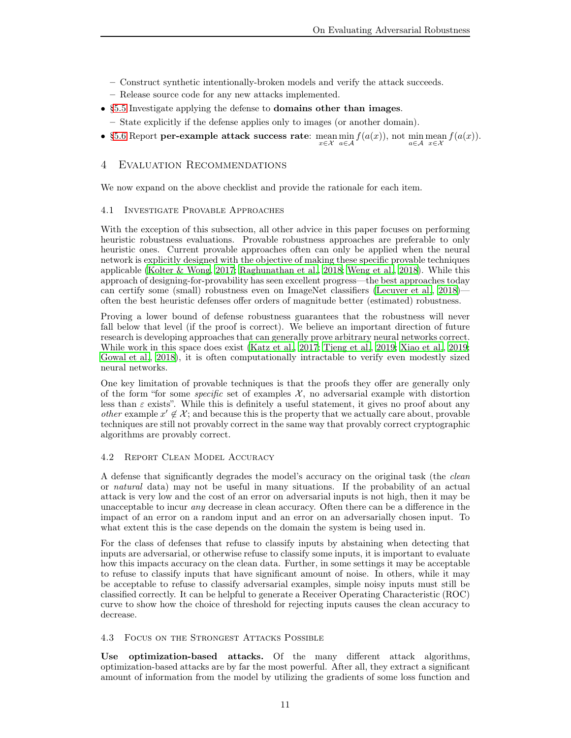- Construct synthetic intentionally-broken models and verify the attack succeeds.
- Release source code for any new attacks implemented.
- [§5.5](#page-17-2) Investigate applying the defense to domains other than images.
- State explicitly if the defense applies only to images (or another domain).
- [§5.6](#page-18-1) Report per-example attack success rate: mean min  $f(a(x))$ , not min mean  $f(a(x))$ . x∈X a∈A a∈A x∈X

# 4 Evaluation Recommendations

<span id="page-10-2"></span>We now expand on the above checklist and provide the rationale for each item.

## 4.1 Investigate Provable Approaches

With the exception of this subsection, all other advice in this paper focuses on performing heuristic robustness evaluations. Provable robustness approaches are preferable to only heuristic ones. Current provable approaches often can only be applied when the neural network is explicitly designed with the objective of making these specific provable techniques applicable [\(Kolter & Wong](#page-21-8), [2017](#page-21-8); [Raghunathan et al., 2018;](#page-22-12) [Weng et al.](#page-23-3), [2018](#page-23-3)). While this approach of designing-for-provability has seen excellent progress—the best approaches today can certify some (small) robustness even on ImageNet classifiers [\(Lecuyer et al.](#page-21-9), [2018](#page-21-9)) often the best heuristic defenses offer orders of magnitude better (estimated) robustness.

Proving a lower bound of defense robustness guarantees that the robustness will never fall below that level (if the proof is correct). We believe an important direction of future research is developing approaches that can generally prove arbitrary neural networks correct. While work in this space does exist [\(Katz et al., 2017](#page-21-10); [Tjeng et al., 2019;](#page-23-4) [Xiao et al.](#page-23-5), [2019](#page-23-5); [Gowal et al., 2018\)](#page-20-14), it is often computationally intractable to verify even modestly sized neural networks.

One key limitation of provable techniques is that the proofs they offer are generally only of the form "for some *specific* set of examples  $\mathcal{X}$ , no adversarial example with distortion less than  $\varepsilon$  exists". While this is definitely a useful statement, it gives no proof about any *other* example  $x' \notin \mathcal{X}$ ; and because this is the property that we actually care about, provable techniques are still not provably correct in the same way that provably correct cryptographic algorithms are provably correct.

#### <span id="page-10-1"></span>4.2 Report Clean Model Accuracy

A defense that significantly degrades the model's accuracy on the original task (the clean or natural data) may not be useful in many situations. If the probability of an actual attack is very low and the cost of an error on adversarial inputs is not high, then it may be unacceptable to incur *any* decrease in clean accuracy. Often there can be a difference in the impact of an error on a random input and an error on an adversarially chosen input. To what extent this is the case depends on the domain the system is being used in.

For the class of defenses that refuse to classify inputs by abstaining when detecting that inputs are adversarial, or otherwise refuse to classify some inputs, it is important to evaluate how this impacts accuracy on the clean data. Further, in some settings it may be acceptable to refuse to classify inputs that have significant amount of noise. In others, while it may be acceptable to refuse to classify adversarial examples, simple noisy inputs must still be classified correctly. It can be helpful to generate a Receiver Operating Characteristic (ROC) curve to show how the choice of threshold for rejecting inputs causes the clean accuracy to decrease.

#### <span id="page-10-0"></span>4.3 Focus on the Strongest Attacks Possible

Use optimization-based attacks. Of the many different attack algorithms, optimization-based attacks are by far the most powerful. After all, they extract a significant amount of information from the model by utilizing the gradients of some loss function and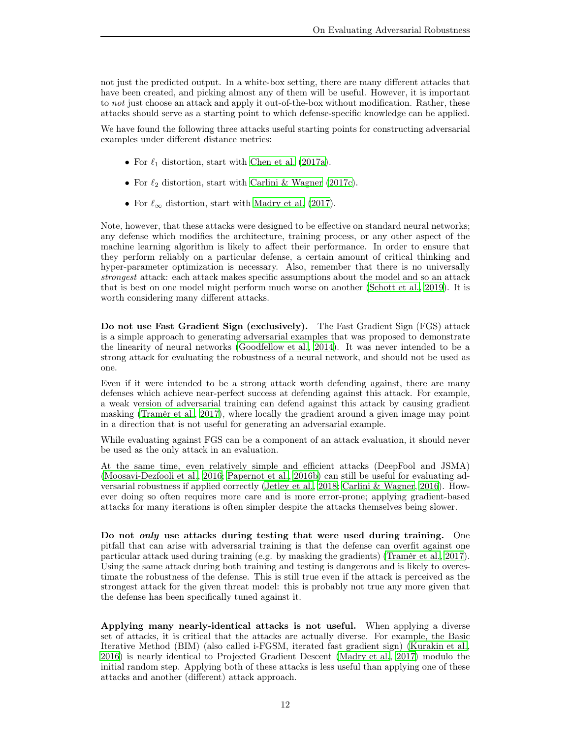not just the predicted output. In a white-box setting, there are many different attacks that have been created, and picking almost any of them will be useful. However, it is important to not just choose an attack and apply it out-of-the-box without modification. Rather, these attacks should serve as a starting point to which defense-specific knowledge can be applied.

We have found the following three attacks useful starting points for constructing adversarial examples under different distance metrics:

- For  $\ell_1$  distortion, start with [Chen et al. \(2017a\)](#page-19-15).
- For  $\ell_2$  distortion, start with [Carlini & Wagner \(2017c\)](#page-19-5).
- For  $\ell_{\infty}$  distortion, start with [Madry et al. \(2017\)](#page-21-5).

Note, however, that these attacks were designed to be effective on standard neural networks; any defense which modifies the architecture, training process, or any other aspect of the machine learning algorithm is likely to affect their performance. In order to ensure that they perform reliably on a particular defense, a certain amount of critical thinking and hyper-parameter optimization is necessary. Also, remember that there is no universally strongest attack: each attack makes specific assumptions about the model and so an attack that is best on one model might perform much worse on another [\(Schott et al., 2019\)](#page-22-13). It is worth considering many different attacks.

Do not use Fast Gradient Sign (exclusively). The Fast Gradient Sign (FGS) attack is a simple approach to generating adversarial examples that was proposed to demonstrate the linearity of neural networks [\(Goodfellow et al.](#page-20-15), [2014\)](#page-20-15). It was never intended to be a strong attack for evaluating the robustness of a neural network, and should not be used as one.

Even if it were intended to be a strong attack worth defending against, there are many defenses which achieve near-perfect success at defending against this attack. For example, a weak version of adversarial training can defend against this attack by causing gradient masking [\(Tramèr et al.](#page-23-2), [2017\)](#page-23-2), where locally the gradient around a given image may point in a direction that is not useful for generating an adversarial example.

While evaluating against FGS can be a component of an attack evaluation, it should never be used as the only attack in an evaluation.

At the same time, even relatively simple and efficient attacks (DeepFool and JSMA) [\(Moosavi-Dezfooli et al., 2016;](#page-21-11) [Papernot et al.](#page-22-4), [2016b\)](#page-22-4) can still be useful for evaluating adversarial robustness if applied correctly [\(Jetley et al., 2018;](#page-21-12) [Carlini & Wagner, 2016\)](#page-19-4). However doing so often requires more care and is more error-prone; applying gradient-based attacks for many iterations is often simpler despite the attacks themselves being slower.

Do not *only* use attacks during testing that were used during training. One pitfall that can arise with adversarial training is that the defense can overfit against one particular attack used during training (e.g. by masking the gradients) [\(Tramèr et al., 2017\)](#page-23-2). Using the same attack during both training and testing is dangerous and is likely to overestimate the robustness of the defense. This is still true even if the attack is perceived as the strongest attack for the given threat model: this is probably not true any more given that the defense has been specifically tuned against it.

Applying many nearly-identical attacks is not useful. When applying a diverse set of attacks, it is critical that the attacks are actually diverse. For example, the Basic Iterative Method (BIM) (also called i-FGSM, iterated fast gradient sign) [\(Kurakin et al.](#page-21-13), [2016\)](#page-21-13) is nearly identical to Projected Gradient Descent [\(Madry et al.](#page-21-5), [2017](#page-21-5)) modulo the initial random step. Applying both of these attacks is less useful than applying one of these attacks and another (different) attack approach.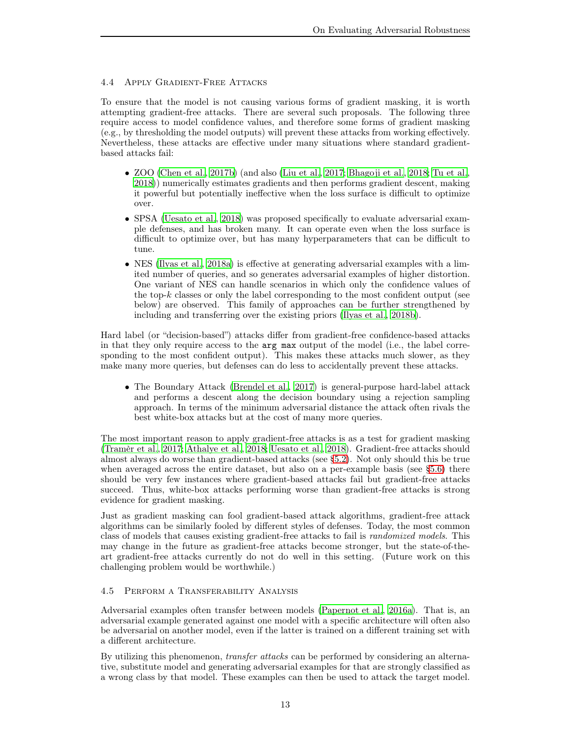## <span id="page-12-0"></span>4.4 Apply Gradient-Free Attacks

To ensure that the model is not causing various forms of gradient masking, it is worth attempting gradient-free attacks. There are several such proposals. The following three require access to model confidence values, and therefore some forms of gradient masking (e.g., by thresholding the model outputs) will prevent these attacks from working effectively. Nevertheless, these attacks are effective under many situations where standard gradientbased attacks fail:

- ZOO [\(Chen et al.](#page-20-11), [2017b\)](#page-20-11) (and also [\(Liu et al.](#page-21-14), [2017;](#page-21-14) [Bhagoji et al.](#page-19-12), [2018;](#page-19-12) [Tu et al.](#page-23-6), [2018\)](#page-23-6)) numerically estimates gradients and then performs gradient descent, making it powerful but potentially ineffective when the loss surface is difficult to optimize over.
- SPSA [\(Uesato et al.](#page-23-0), [2018\)](#page-23-0) was proposed specifically to evaluate adversarial example defenses, and has broken many. It can operate even when the loss surface is difficult to optimize over, but has many hyperparameters that can be difficult to tune.
- NES [\(Ilyas et al.](#page-21-7), [2018a\)](#page-21-7) is effective at generating adversarial examples with a limited number of queries, and so generates adversarial examples of higher distortion. One variant of NES can handle scenarios in which only the confidence values of the top- $k$  classes or only the label corresponding to the most confident output (see below) are observed. This family of approaches can be further strengthened by including and transferring over the existing priors (Ilyas [et al., 2018b](#page-21-15)).

Hard label (or "decision-based") attacks differ from gradient-free confidence-based attacks in that they only require access to the arg max output of the model (i.e., the label corresponding to the most confident output). This makes these attacks much slower, as they make many more queries, but defenses can do less to accidentally prevent these attacks.

• The Boundary Attack [\(Brendel et al.](#page-19-14), [2017\)](#page-19-14) is general-purpose hard-label attack and performs a descent along the decision boundary using a rejection sampling approach. In terms of the minimum adversarial distance the attack often rivals the best white-box attacks but at the cost of many more queries.

The most important reason to apply gradient-free attacks is as a test for gradient masking [\(Tramèr et al.](#page-23-2), [2017;](#page-23-2) [Athalye et al.](#page-19-9), [2018;](#page-19-9) [Uesato et al.](#page-23-0), [2018\)](#page-23-0). Gradient-free attacks should almost always do worse than gradient-based attacks (see [§5.2\)](#page-16-1). Not only should this be true when averaged across the entire dataset, but also on a per-example basis (see [§5.6\)](#page-18-1) there should be very few instances where gradient-based attacks fail but gradient-free attacks succeed. Thus, white-box attacks performing worse than gradient-free attacks is strong evidence for gradient masking.

Just as gradient masking can fool gradient-based attack algorithms, gradient-free attack algorithms can be similarly fooled by different styles of defenses. Today, the most common class of models that causes existing gradient-free attacks to fail is randomized models. This may change in the future as gradient-free attacks become stronger, but the state-of-theart gradient-free attacks currently do not do well in this setting. (Future work on this challenging problem would be worthwhile.)

## <span id="page-12-1"></span>4.5 Perform a Transferability Analysis

Adversarial examples often transfer between models [\(Papernot et al.](#page-22-14), [2016a\)](#page-22-14). That is, an adversarial example generated against one model with a specific architecture will often also be adversarial on another model, even if the latter is trained on a different training set with a different architecture.

By utilizing this phenomenon, transfer attacks can be performed by considering an alternative, substitute model and generating adversarial examples for that are strongly classified as a wrong class by that model. These examples can then be used to attack the target model.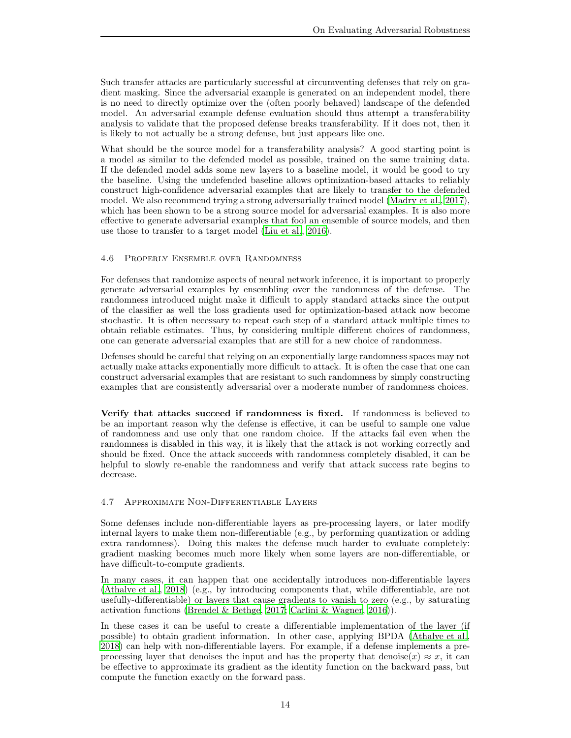Such transfer attacks are particularly successful at circumventing defenses that rely on gradient masking. Since the adversarial example is generated on an independent model, there is no need to directly optimize over the (often poorly behaved) landscape of the defended model. An adversarial example defense evaluation should thus attempt a transferability analysis to validate that the proposed defense breaks transferability. If it does not, then it is likely to not actually be a strong defense, but just appears like one.

What should be the source model for a transferability analysis? A good starting point is a model as similar to the defended model as possible, trained on the same training data. If the defended model adds some new layers to a baseline model, it would be good to try the baseline. Using the undefended baseline allows optimization-based attacks to reliably construct high-confidence adversarial examples that are likely to transfer to the defended model. We also recommend trying a strong adversarially trained model [\(Madry et al.](#page-21-5), [2017\)](#page-21-5), which has been shown to be a strong source model for adversarial examples. It is also more effective to generate adversarial examples that fool an ensemble of source models, and then use those to transfer to a target model [\(Liu et al., 2016\)](#page-21-16).

## <span id="page-13-0"></span>4.6 Properly Ensemble over Randomness

For defenses that randomize aspects of neural network inference, it is important to properly generate adversarial examples by ensembling over the randomness of the defense. The randomness introduced might make it difficult to apply standard attacks since the output of the classifier as well the loss gradients used for optimization-based attack now become stochastic. It is often necessary to repeat each step of a standard attack multiple times to obtain reliable estimates. Thus, by considering multiple different choices of randomness, one can generate adversarial examples that are still for a new choice of randomness.

Defenses should be careful that relying on an exponentially large randomness spaces may not actually make attacks exponentially more difficult to attack. It is often the case that one can construct adversarial examples that are resistant to such randomness by simply constructing examples that are consistently adversarial over a moderate number of randomness choices.

Verify that attacks succeed if randomness is fixed. If randomness is believed to be an important reason why the defense is effective, it can be useful to sample one value of randomness and use only that one random choice. If the attacks fail even when the randomness is disabled in this way, it is likely that the attack is not working correctly and should be fixed. Once the attack succeeds with randomness completely disabled, it can be helpful to slowly re-enable the randomness and verify that attack success rate begins to decrease.

# <span id="page-13-1"></span>4.7 Approximate Non-Differentiable Layers

Some defenses include non-differentiable layers as pre-processing layers, or later modify internal layers to make them non-differentiable (e.g., by performing quantization or adding extra randomness). Doing this makes the defense much harder to evaluate completely: gradient masking becomes much more likely when some layers are non-differentiable, or have difficult-to-compute gradients.

In many cases, it can happen that one accidentally introduces non-differentiable layers [\(Athalye et al.](#page-19-9), [2018\)](#page-19-9) (e.g., by introducing components that, while differentiable, are not usefully-differentiable) or layers that cause gradients to vanish to zero (e.g., by saturating activation functions [\(Brendel & Bethge](#page-19-6), [2017;](#page-19-6) [Carlini & Wagner, 2016\)](#page-19-4)).

In these cases it can be useful to create a differentiable implementation of the layer (if possible) to obtain gradient information. In other case, applying BPDA [\(Athalye et al.](#page-19-9), [2018\)](#page-19-9) can help with non-differentiable layers. For example, if a defense implements a preprocessing layer that denoises the input and has the property that denoise(x)  $\approx x$ , it can be effective to approximate its gradient as the identity function on the backward pass, but compute the function exactly on the forward pass.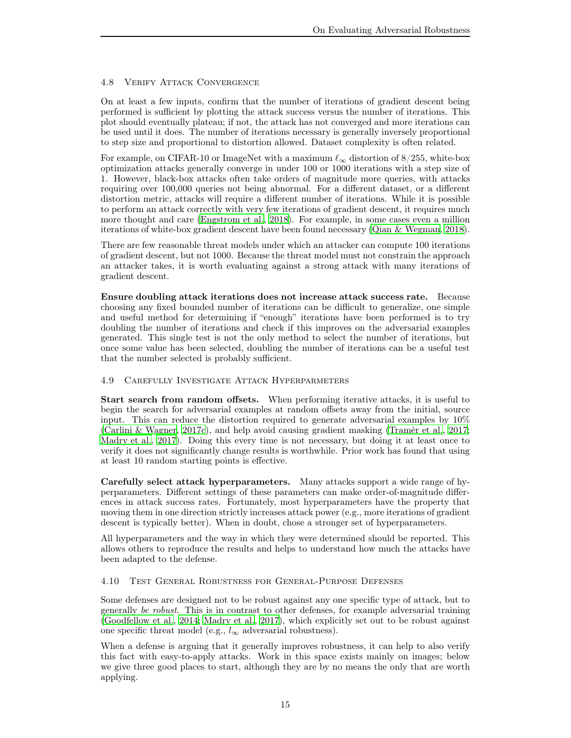# <span id="page-14-0"></span>4.8 Verify Attack Convergence

On at least a few inputs, confirm that the number of iterations of gradient descent being performed is sufficient by plotting the attack success versus the number of iterations. This plot should eventually plateau; if not, the attack has not converged and more iterations can be used until it does. The number of iterations necessary is generally inversely proportional to step size and proportional to distortion allowed. Dataset complexity is often related.

For example, on CIFAR-10 or ImageNet with a maximum  $\ell_{\infty}$  distortion of 8/255, white-box optimization attacks generally converge in under 100 or 1000 iterations with a step size of 1. However, black-box attacks often take orders of magnitude more queries, with attacks requiring over 100,000 queries not being abnormal. For a different dataset, or a different distortion metric, attacks will require a different number of iterations. While it is possible to perform an attack correctly with very few iterations of gradient descent, it requires much more thought and care [\(Engstrom et al., 2018](#page-20-3)). For example, in some cases even a million iterations of white-box gradient descent have been found necessary [\(Qian & Wegman](#page-22-15), [2018\)](#page-22-15).

There are few reasonable threat models under which an attacker can compute 100 iterations of gradient descent, but not 1000. Because the threat model must not constrain the approach an attacker takes, it is worth evaluating against a strong attack with many iterations of gradient descent.

Ensure doubling attack iterations does not increase attack success rate. Because choosing any fixed bounded number of iterations can be difficult to generalize, one simple and useful method for determining if "enough" iterations have been performed is to try doubling the number of iterations and check if this improves on the adversarial examples generated. This single test is not the only method to select the number of iterations, but once some value has been selected, doubling the number of iterations can be a useful test that the number selected is probably sufficient.

## <span id="page-14-1"></span>4.9 Carefully Investigate Attack Hyperparmeters

Start search from random offsets. When performing iterative attacks, it is useful to begin the search for adversarial examples at random offsets away from the initial, source input. This can reduce the distortion required to generate adversarial examples by 10% [\(Carlini & Wagner](#page-19-5), [2017c](#page-19-5)), and help avoid causing gradient masking [\(Tramèr et al., 2017](#page-23-2); [Madry et al.](#page-21-5), [2017\)](#page-21-5). Doing this every time is not necessary, but doing it at least once to verify it does not significantly change results is worthwhile. Prior work has found that using at least 10 random starting points is effective.

Carefully select attack hyperparameters. Many attacks support a wide range of hyperparameters. Different settings of these parameters can make order-of-magnitude differences in attack success rates. Fortunately, most hyperparameters have the property that moving them in one direction strictly increases attack power (e.g., more iterations of gradient descent is typically better). When in doubt, chose a stronger set of hyperparameters.

All hyperparameters and the way in which they were determined should be reported. This allows others to reproduce the results and helps to understand how much the attacks have been adapted to the defense.

## <span id="page-14-2"></span>4.10 Test General Robustness for General-Purpose Defenses

Some defenses are designed not to be robust against any one specific type of attack, but to generally be robust. This is in contrast to other defenses, for example adversarial training [\(Goodfellow et al.](#page-20-15), [2014;](#page-20-15) [Madry et al.](#page-21-5), [2017](#page-21-5)), which explicitly set out to be robust against one specific threat model (e.g.,  $l_{\infty}$  adversarial robustness).

When a defense is arguing that it generally improves robustness, it can help to also verify this fact with easy-to-apply attacks. Work in this space exists mainly on images; below we give three good places to start, although they are by no means the only that are worth applying.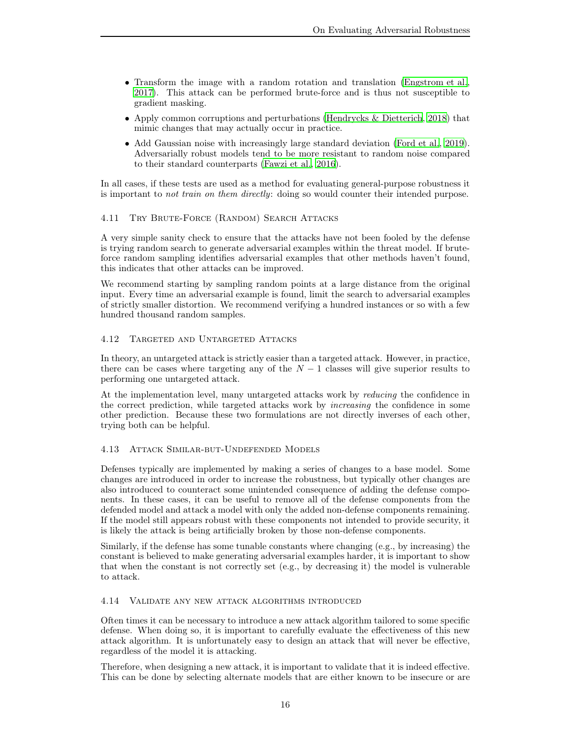- Transform the image with a random rotation and translation [\(Engstrom et al.](#page-20-8), [2017\)](#page-20-8). This attack can be performed brute-force and is thus not susceptible to gradient masking.
- Apply common corruptions and perturbations [\(Hendrycks & Dietterich](#page-20-12), [2018\)](#page-20-12) that mimic changes that may actually occur in practice.
- Add Gaussian noise with increasingly large standard deviation [\(Ford et al.](#page-20-13), [2019\)](#page-20-13). Adversarially robust models tend to be more resistant to random noise compared to their standard counterparts [\(Fawzi et al.](#page-20-16), [2016\)](#page-20-16).

In all cases, if these tests are used as a method for evaluating general-purpose robustness it is important to *not train on them directly*: doing so would counter their intended purpose.

## <span id="page-15-0"></span>4.11 Try Brute-Force (Random) Search Attacks

A very simple sanity check to ensure that the attacks have not been fooled by the defense is trying random search to generate adversarial examples within the threat model. If bruteforce random sampling identifies adversarial examples that other methods haven't found, this indicates that other attacks can be improved.

We recommend starting by sampling random points at a large distance from the original input. Every time an adversarial example is found, limit the search to adversarial examples of strictly smaller distortion. We recommend verifying a hundred instances or so with a few hundred thousand random samples.

## <span id="page-15-1"></span>4.12 Targeted and Untargeted Attacks

In theory, an untargeted attack is strictly easier than a targeted attack. However, in practice, there can be cases where targeting any of the  $N-1$  classes will give superior results to performing one untargeted attack.

At the implementation level, many untargeted attacks work by reducing the confidence in the correct prediction, while targeted attacks work by increasing the confidence in some other prediction. Because these two formulations are not directly inverses of each other, trying both can be helpful.

## <span id="page-15-2"></span>4.13 Attack Similar-but-Undefended Models

Defenses typically are implemented by making a series of changes to a base model. Some changes are introduced in order to increase the robustness, but typically other changes are also introduced to counteract some unintended consequence of adding the defense components. In these cases, it can be useful to remove all of the defense components from the defended model and attack a model with only the added non-defense components remaining. If the model still appears robust with these components not intended to provide security, it is likely the attack is being artificially broken by those non-defense components.

Similarly, if the defense has some tunable constants where changing (e.g., by increasing) the constant is believed to make generating adversarial examples harder, it is important to show that when the constant is not correctly set (e.g., by decreasing it) the model is vulnerable to attack.

## <span id="page-15-3"></span>4.14 Validate any new attack algorithms introduced

Often times it can be necessary to introduce a new attack algorithm tailored to some specific defense. When doing so, it is important to carefully evaluate the effectiveness of this new attack algorithm. It is unfortunately easy to design an attack that will never be effective, regardless of the model it is attacking.

Therefore, when designing a new attack, it is important to validate that it is indeed effective. This can be done by selecting alternate models that are either known to be insecure or are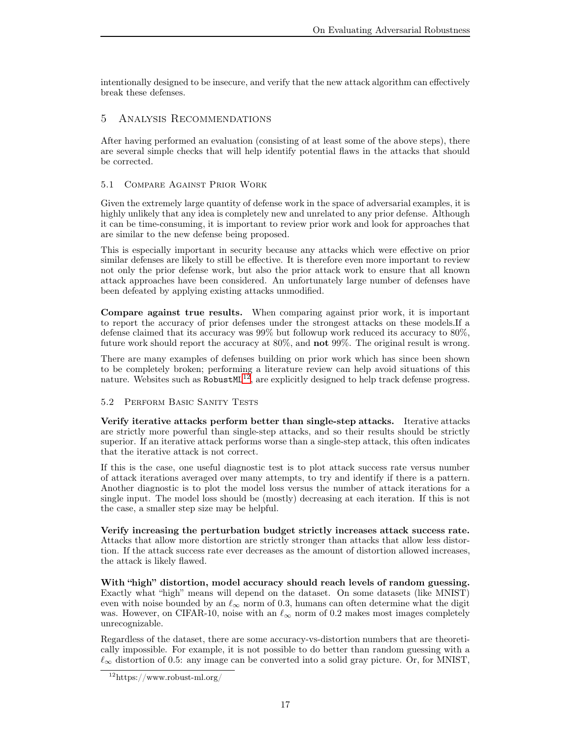intentionally designed to be insecure, and verify that the new attack algorithm can effectively break these defenses.

# <span id="page-16-0"></span>5 Analysis Recommendations

After having performed an evaluation (consisting of at least some of the above steps), there are several simple checks that will help identify potential flaws in the attacks that should be corrected.

## <span id="page-16-2"></span>5.1 Compare Against Prior Work

Given the extremely large quantity of defense work in the space of adversarial examples, it is highly unlikely that any idea is completely new and unrelated to any prior defense. Although it can be time-consuming, it is important to review prior work and look for approaches that are similar to the new defense being proposed.

This is especially important in security because any attacks which were effective on prior similar defenses are likely to still be effective. It is therefore even more important to review not only the prior defense work, but also the prior attack work to ensure that all known attack approaches have been considered. An unfortunately large number of defenses have been defeated by applying existing attacks unmodified.

Compare against true results. When comparing against prior work, it is important to report the accuracy of prior defenses under the strongest attacks on these models.If a defense claimed that its accuracy was 99% but followup work reduced its accuracy to 80%, future work should report the accuracy at 80%, and not 99%. The original result is wrong.

There are many examples of defenses building on prior work which has since been shown to be completely broken; performing a literature review can help avoid situations of this nature. Websites such as Robust $ML^{12}$  $ML^{12}$  $ML^{12}$ , are explicitly designed to help track defense progress.

# <span id="page-16-1"></span>5.2 Perform Basic Sanity Tests

Verify iterative attacks perform better than single-step attacks. Iterative attacks are strictly more powerful than single-step attacks, and so their results should be strictly superior. If an iterative attack performs worse than a single-step attack, this often indicates that the iterative attack is not correct.

If this is the case, one useful diagnostic test is to plot attack success rate versus number of attack iterations averaged over many attempts, to try and identify if there is a pattern. Another diagnostic is to plot the model loss versus the number of attack iterations for a single input. The model loss should be (mostly) decreasing at each iteration. If this is not the case, a smaller step size may be helpful.

Verify increasing the perturbation budget strictly increases attack success rate. Attacks that allow more distortion are strictly stronger than attacks that allow less distortion. If the attack success rate ever decreases as the amount of distortion allowed increases, the attack is likely flawed.

With "high" distortion, model accuracy should reach levels of random guessing. Exactly what "high" means will depend on the dataset. On some datasets (like MNIST) even with noise bounded by an  $\ell_{\infty}$  norm of 0.3, humans can often determine what the digit was. However, on CIFAR-10, noise with an  $\ell_{\infty}$  norm of 0.2 makes most images completely unrecognizable.

Regardless of the dataset, there are some accuracy-vs-distortion numbers that are theoretically impossible. For example, it is not possible to do better than random guessing with a  $\ell_{\infty}$  distortion of 0.5: any image can be converted into a solid gray picture. Or, for MNIST,

<span id="page-16-3"></span><sup>12</sup>https://www.robust-ml.org/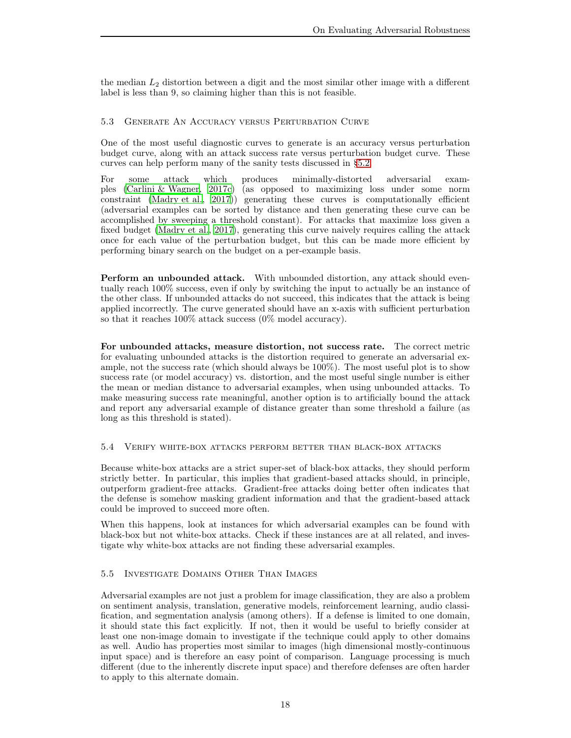the median  $L_2$  distortion between a digit and the most similar other image with a different label is less than 9, so claiming higher than this is not feasible.

## <span id="page-17-0"></span>5.3 Generate An Accuracy versus Perturbation Curve

One of the most useful diagnostic curves to generate is an accuracy versus perturbation budget curve, along with an attack success rate versus perturbation budget curve. These curves can help perform many of the sanity tests discussed in [§5.2.](#page-16-1)

For some attack which produces minimally-distorted adversarial examples [\(Carlini & Wagner, 2017c](#page-19-5)) (as opposed to maximizing loss under some norm constraint [\(Madry et al., 2017\)](#page-21-5)) generating these curves is computationally efficient (adversarial examples can be sorted by distance and then generating these curve can be accomplished by sweeping a threshold constant). For attacks that maximize loss given a fixed budget [\(Madry et al., 2017](#page-21-5)), generating this curve naively requires calling the attack once for each value of the perturbation budget, but this can be made more efficient by performing binary search on the budget on a per-example basis.

Perform an unbounded attack. With unbounded distortion, any attack should eventually reach 100% success, even if only by switching the input to actually be an instance of the other class. If unbounded attacks do not succeed, this indicates that the attack is being applied incorrectly. The curve generated should have an x-axis with sufficient perturbation so that it reaches 100% attack success (0% model accuracy).

For unbounded attacks, measure distortion, not success rate. The correct metric for evaluating unbounded attacks is the distortion required to generate an adversarial example, not the success rate (which should always be 100%). The most useful plot is to show success rate (or model accuracy) vs. distortion, and the most useful single number is either the mean or median distance to adversarial examples, when using unbounded attacks. To make measuring success rate meaningful, another option is to artificially bound the attack and report any adversarial example of distance greater than some threshold a failure (as long as this threshold is stated).

## <span id="page-17-1"></span>5.4 Verify white-box attacks perform better than black-box attacks

Because white-box attacks are a strict super-set of black-box attacks, they should perform strictly better. In particular, this implies that gradient-based attacks should, in principle, outperform gradient-free attacks. Gradient-free attacks doing better often indicates that the defense is somehow masking gradient information and that the gradient-based attack could be improved to succeed more often.

When this happens, look at instances for which adversarial examples can be found with black-box but not white-box attacks. Check if these instances are at all related, and investigate why white-box attacks are not finding these adversarial examples.

# <span id="page-17-2"></span>5.5 Investigate Domains Other Than Images

Adversarial examples are not just a problem for image classification, they are also a problem on sentiment analysis, translation, generative models, reinforcement learning, audio classification, and segmentation analysis (among others). If a defense is limited to one domain, it should state this fact explicitly. If not, then it would be useful to briefly consider at least one non-image domain to investigate if the technique could apply to other domains as well. Audio has properties most similar to images (high dimensional mostly-continuous input space) and is therefore an easy point of comparison. Language processing is much different (due to the inherently discrete input space) and therefore defenses are often harder to apply to this alternate domain.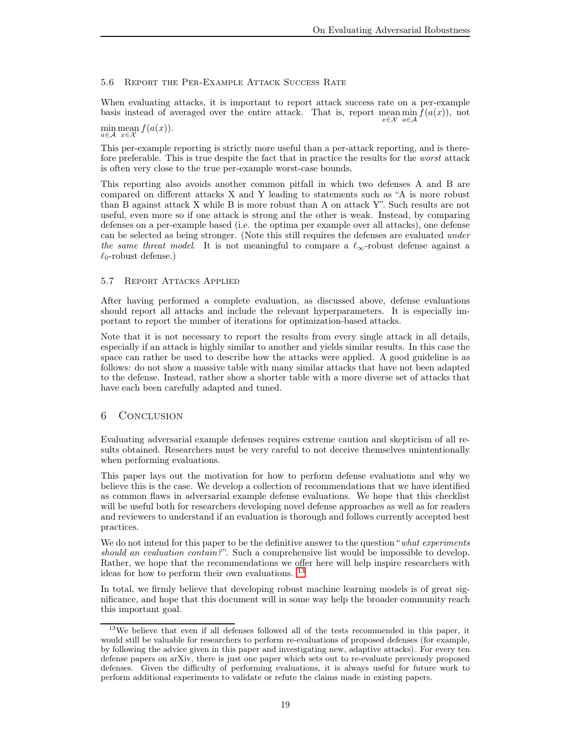# <span id="page-18-1"></span>5.6 Report the Per-Example Attack Success Rate

When evaluating attacks, it is important to report attack success rate on a per-example basis instead of averaged over the entire attack. That is, report mean  $\min f(a(x))$ , not x∈X a∈A

min mean  $f(a(x))$ . a∈A x∈X

This per-example reporting is strictly more useful than a per-attack reporting, and is therefore preferable. This is true despite the fact that in practice the results for the worst attack is often very close to the true per-example worst-case bounds.

This reporting also avoids another common pitfall in which two defenses A and B are compared on different attacks X and Y leading to statements such as "A is more robust than B against attack X while B is more robust than A on attack Y". Such results are not useful, even more so if one attack is strong and the other is weak. Instead, by comparing defenses on a per-example based (i.e. the optima per example over all attacks), one defense can be selected as being stronger. (Note this still requires the defenses are evaluated under the same threat model. It is not meaningful to compare a  $\ell_{\infty}$ -robust defense against a  $\ell_0$ -robust defense.)

## <span id="page-18-0"></span>5.7 Report Attacks Applied

After having performed a complete evaluation, as discussed above, defense evaluations should report all attacks and include the relevant hyperparameters. It is especially important to report the number of iterations for optimization-based attacks.

Note that it is not necessary to report the results from every single attack in all details, especially if an attack is highly similar to another and yields similar results. In this case the space can rather be used to describe how the attacks were applied. A good guideline is as follows: do not show a massive table with many similar attacks that have not been adapted to the defense. Instead, rather show a shorter table with a more diverse set of attacks that have each been carefully adapted and tuned.

# 6 Conclusion

Evaluating adversarial example defenses requires extreme caution and skepticism of all results obtained. Researchers must be very careful to not deceive themselves unintentionally when performing evaluations.

This paper lays out the motivation for how to perform defense evaluations and why we believe this is the case. We develop a collection of recommendations that we have identified as common flaws in adversarial example defense evaluations. We hope that this checklist will be useful both for researchers developing novel defense approaches as well as for readers and reviewers to understand if an evaluation is thorough and follows currently accepted best practices.

We do not intend for this paper to be the definitive answer to the question "what experiments" should an evaluation contain?". Such a comprehensive list would be impossible to develop. Rather, we hope that the recommendations we offer here will help inspire researchers with ideas for how to perform their own evaluations. [13](#page-18-2)

In total, we firmly believe that developing robust machine learning models is of great significance, and hope that this document will in some way help the broader community reach this important goal.

<span id="page-18-2"></span><sup>&</sup>lt;sup>13</sup>We believe that even if all defenses followed all of the tests recommended in this paper, it would still be valuable for researchers to perform re-evaluations of proposed defenses (for example, by following the advice given in this paper and investigating new, adaptive attacks). For every ten defense papers on arXiv, there is just one paper which sets out to re-evaluate previously proposed defenses. Given the difficulty of performing evaluations, it is always useful for future work to perform additional experiments to validate or refute the claims made in existing papers.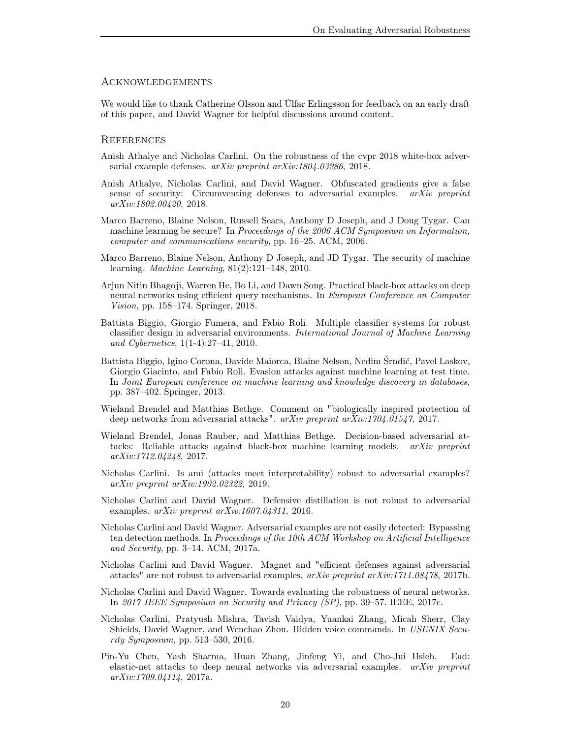#### **ACKNOWLEDGEMENTS**

We would like to thank Catherine Olsson and Úlfar Erlingsson for feedback on an early draft of this paper, and David Wagner for helpful discussions around content.

#### **REFERENCES**

- <span id="page-19-10"></span>Anish Athalye and Nicholas Carlini. On the robustness of the cvpr 2018 white-box adversarial example defenses. arXiv preprint arXiv:1804.03286, 2018.
- <span id="page-19-9"></span>Anish Athalye, Nicholas Carlini, and David Wagner. Obfuscated gradients give a false sense of security: Circumventing defenses to adversarial examples.  $arXiv$  preprint arXiv:1802.00420, 2018.
- <span id="page-19-1"></span>Marco Barreno, Blaine Nelson, Russell Sears, Anthony D Joseph, and J Doug Tygar. Can machine learning be secure? In Proceedings of the 2006 ACM Symposium on Information, computer and communications security, pp. 16–25. ACM, 2006.
- <span id="page-19-2"></span>Marco Barreno, Blaine Nelson, Anthony D Joseph, and JD Tygar. The security of machine learning. Machine Learning, 81(2):121–148, 2010.
- <span id="page-19-12"></span>Arjun Nitin Bhagoji, Warren He, Bo Li, and Dawn Song. Practical black-box attacks on deep neural networks using efficient query mechanisms. In European Conference on Computer Vision, pp. 158–174. Springer, 2018.
- <span id="page-19-3"></span>Battista Biggio, Giorgio Fumera, and Fabio Roli. Multiple classifier systems for robust classifier design in adversarial environments. International Journal of Machine Learning and Cybernetics, 1(1-4):27–41, 2010.
- <span id="page-19-0"></span>Battista Biggio, Igino Corona, Davide Maiorca, Blaine Nelson, Nedim Šrndić, Pavel Laskov, Giorgio Giacinto, and Fabio Roli. Evasion attacks against machine learning at test time. In Joint European conference on machine learning and knowledge discovery in databases, pp. 387–402. Springer, 2013.
- <span id="page-19-6"></span>Wieland Brendel and Matthias Bethge. Comment on "biologically inspired protection of deep networks from adversarial attacks". arXiv preprint arXiv:1704.01547, 2017.
- <span id="page-19-14"></span>Wieland Brendel, Jonas Rauber, and Matthias Bethge. Decision-based adversarial attacks: Reliable attacks against black-box machine learning models. arXiv preprint arXiv:1712.04248, 2017.
- <span id="page-19-11"></span>Nicholas Carlini. Is ami (attacks meet interpretability) robust to adversarial examples? arXiv preprint arXiv:1902.02322, 2019.
- <span id="page-19-4"></span>Nicholas Carlini and David Wagner. Defensive distillation is not robust to adversarial examples. arXiv preprint arXiv:1607.04311, 2016.
- <span id="page-19-7"></span>Nicholas Carlini and David Wagner. Adversarial examples are not easily detected: Bypassing ten detection methods. In Proceedings of the 10th ACM Workshop on Artificial Intelligence and Security, pp. 3–14. ACM, 2017a.
- <span id="page-19-8"></span>Nicholas Carlini and David Wagner. Magnet and "efficient defenses against adversarial attacks" are not robust to adversarial examples.  $arXiv$  preprint  $arXiv:1711.08478$ , 2017b.
- <span id="page-19-5"></span>Nicholas Carlini and David Wagner. Towards evaluating the robustness of neural networks. In 2017 IEEE Symposium on Security and Privacy (SP), pp. 39–57. IEEE, 2017c.
- <span id="page-19-13"></span>Nicholas Carlini, Pratyush Mishra, Tavish Vaidya, Yuankai Zhang, Micah Sherr, Clay Shields, David Wagner, and Wenchao Zhou. Hidden voice commands. In USENIX Security Symposium, pp. 513–530, 2016.
- <span id="page-19-15"></span>Pin-Yu Chen, Yash Sharma, Huan Zhang, Jinfeng Yi, and Cho-Jui Hsieh. Ead: elastic-net attacks to deep neural networks via adversarial examples. arXiv preprint  $arXiv:1709.04114$ , 2017a.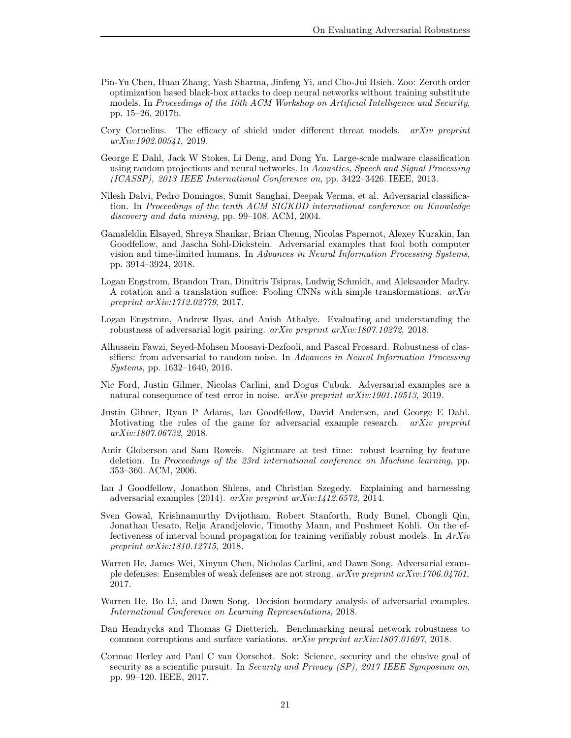- <span id="page-20-11"></span>Pin-Yu Chen, Huan Zhang, Yash Sharma, Jinfeng Yi, and Cho-Jui Hsieh. Zoo: Zeroth order optimization based black-box attacks to deep neural networks without training substitute models. In Proceedings of the 10th ACM Workshop on Artificial Intelligence and Security, pp. 15–26, 2017b.
- <span id="page-20-5"></span>Cory Cornelius. The efficacy of shield under different threat models. *arXiv preprint* arXiv:1902.00541, 2019.
- <span id="page-20-6"></span>George E Dahl, Jack W Stokes, Li Deng, and Dong Yu. Large-scale malware classification using random projections and neural networks. In Acoustics, Speech and Signal Processing (ICASSP), 2013 IEEE International Conference on, pp. 3422–3426. IEEE, 2013.
- <span id="page-20-0"></span>Nilesh Dalvi, Pedro Domingos, Sumit Sanghai, Deepak Verma, et al. Adversarial classification. In Proceedings of the tenth ACM SIGKDD international conference on Knowledge discovery and data mining, pp. 99–108. ACM, 2004.
- <span id="page-20-7"></span>Gamaleldin Elsayed, Shreya Shankar, Brian Cheung, Nicolas Papernot, Alexey Kurakin, Ian Goodfellow, and Jascha Sohl-Dickstein. Adversarial examples that fool both computer vision and time-limited humans. In Advances in Neural Information Processing Systems, pp. 3914–3924, 2018.
- <span id="page-20-8"></span>Logan Engstrom, Brandon Tran, Dimitris Tsipras, Ludwig Schmidt, and Aleksander Madry. A rotation and a translation suffice: Fooling CNNs with simple transformations.  $arXiv$ preprint arXiv:1712.02779, 2017.
- <span id="page-20-3"></span>Logan Engstrom, Andrew Ilyas, and Anish Athalye. Evaluating and understanding the robustness of adversarial logit pairing. arXiv preprint arXiv:1807.10272, 2018.
- <span id="page-20-16"></span>Alhussein Fawzi, Seyed-Mohsen Moosavi-Dezfooli, and Pascal Frossard. Robustness of classifiers: from adversarial to random noise. In Advances in Neural Information Processing Systems, pp. 1632–1640, 2016.
- <span id="page-20-13"></span>Nic Ford, Justin Gilmer, Nicolas Carlini, and Dogus Cubuk. Adversarial examples are a natural consequence of test error in noise. arXiv preprint arXiv:1901.10513, 2019.
- <span id="page-20-9"></span>Justin Gilmer, Ryan P Adams, Ian Goodfellow, David Andersen, and George E Dahl. Motivating the rules of the game for adversarial example research. *arXiv preprint* arXiv:1807.06732, 2018.
- <span id="page-20-1"></span>Amir Globerson and Sam Roweis. Nightmare at test time: robust learning by feature deletion. In Proceedings of the 23rd international conference on Machine learning, pp. 353–360. ACM, 2006.
- <span id="page-20-15"></span>Ian J Goodfellow, Jonathon Shlens, and Christian Szegedy. Explaining and harnessing adversarial examples (2014). arXiv preprint arXiv:1412.6572, 2014.
- <span id="page-20-14"></span>Sven Gowal, Krishnamurthy Dvijotham, Robert Stanforth, Rudy Bunel, Chongli Qin, Jonathan Uesato, Relja Arandjelovic, Timothy Mann, and Pushmeet Kohli. On the effectiveness of interval bound propagation for training verifiably robust models. In ArXiv preprint arXiv:1810.12715, 2018.
- <span id="page-20-2"></span>Warren He, James Wei, Xinyun Chen, Nicholas Carlini, and Dawn Song. Adversarial example defenses: Ensembles of weak defenses are not strong. arXiv preprint arXiv:1706.04701, 2017.
- <span id="page-20-4"></span>Warren He, Bo Li, and Dawn Song. Decision boundary analysis of adversarial examples. International Conference on Learning Representations, 2018.
- <span id="page-20-12"></span>Dan Hendrycks and Thomas G Dietterich. Benchmarking neural network robustness to common corruptions and surface variations. arXiv preprint arXiv:1807.01697, 2018.
- <span id="page-20-10"></span>Cormac Herley and Paul C van Oorschot. Sok: Science, security and the elusive goal of security as a scientific pursuit. In Security and Privacy (SP), 2017 IEEE Symposium on, pp. 99–120. IEEE, 2017.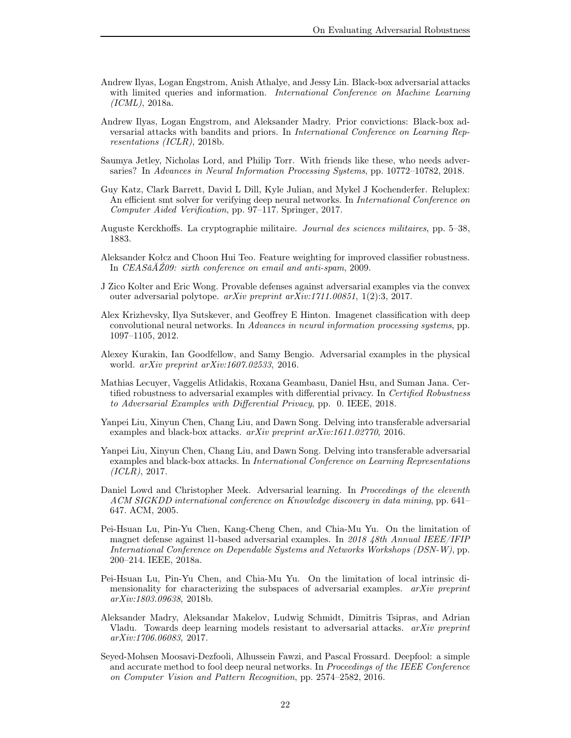- <span id="page-21-7"></span>Andrew Ilyas, Logan Engstrom, Anish Athalye, and Jessy Lin. Black-box adversarial attacks with limited queries and information. *International Conference on Machine Learning* (ICML), 2018a.
- <span id="page-21-15"></span>Andrew Ilyas, Logan Engstrom, and Aleksander Madry. Prior convictions: Black-box adversarial attacks with bandits and priors. In International Conference on Learning Representations (ICLR), 2018b.
- <span id="page-21-12"></span>Saumya Jetley, Nicholas Lord, and Philip Torr. With friends like these, who needs adversaries? In Advances in Neural Information Processing Systems, pp. 10772–10782, 2018.
- <span id="page-21-10"></span>Guy Katz, Clark Barrett, David L Dill, Kyle Julian, and Mykel J Kochenderfer. Reluplex: An efficient smt solver for verifying deep neural networks. In International Conference on Computer Aided Verification, pp. 97–117. Springer, 2017.
- <span id="page-21-6"></span>Auguste Kerckhoffs. La cryptographie militaire. Journal des sciences militaires, pp. 5–38, 1883.
- <span id="page-21-1"></span>Aleksander Kołcz and Choon Hui Teo. Feature weighting for improved classifier robustness. In CEASâ $\tilde{A}Z09$ : sixth conference on email and anti-spam, 2009.
- <span id="page-21-8"></span>J Zico Kolter and Eric Wong. Provable defenses against adversarial examples via the convex outer adversarial polytope. arXiv preprint arXiv:1711.00851, 1(2):3, 2017.
- <span id="page-21-4"></span>Alex Krizhevsky, Ilya Sutskever, and Geoffrey E Hinton. Imagenet classification with deep convolutional neural networks. In Advances in neural information processing systems, pp. 1097–1105, 2012.
- <span id="page-21-13"></span>Alexey Kurakin, Ian Goodfellow, and Samy Bengio. Adversarial examples in the physical world. arXiv preprint arXiv:1607.02533, 2016.
- <span id="page-21-9"></span>Mathias Lecuyer, Vaggelis Atlidakis, Roxana Geambasu, Daniel Hsu, and Suman Jana. Certified robustness to adversarial examples with differential privacy. In Certified Robustness to Adversarial Examples with Differential Privacy, pp. 0. IEEE, 2018.
- <span id="page-21-16"></span>Yanpei Liu, Xinyun Chen, Chang Liu, and Dawn Song. Delving into transferable adversarial examples and black-box attacks. arXiv preprint arXiv:1611.02770, 2016.
- <span id="page-21-14"></span>Yanpei Liu, Xinyun Chen, Chang Liu, and Dawn Song. Delving into transferable adversarial examples and black-box attacks. In International Conference on Learning Representations  $(ICLR)$ , 2017.
- <span id="page-21-0"></span>Daniel Lowd and Christopher Meek. Adversarial learning. In Proceedings of the eleventh ACM SIGKDD international conference on Knowledge discovery in data mining, pp. 641– 647. ACM, 2005.
- <span id="page-21-2"></span>Pei-Hsuan Lu, Pin-Yu Chen, Kang-Cheng Chen, and Chia-Mu Yu. On the limitation of magnet defense against l1-based adversarial examples. In 2018 48th Annual IEEE/IFIP International Conference on Dependable Systems and Networks Workshops (DSN-W), pp. 200–214. IEEE, 2018a.
- <span id="page-21-3"></span>Pei-Hsuan Lu, Pin-Yu Chen, and Chia-Mu Yu. On the limitation of local intrinsic dimensionality for characterizing the subspaces of adversarial examples.  $arXiv$  preprint arXiv:1803.09638, 2018b.
- <span id="page-21-5"></span>Aleksander Madry, Aleksandar Makelov, Ludwig Schmidt, Dimitris Tsipras, and Adrian Vladu. Towards deep learning models resistant to adversarial attacks. *arXiv preprint* arXiv:1706.06083, 2017.
- <span id="page-21-11"></span>Seyed-Mohsen Moosavi-Dezfooli, Alhussein Fawzi, and Pascal Frossard. Deepfool: a simple and accurate method to fool deep neural networks. In Proceedings of the IEEE Conference on Computer Vision and Pattern Recognition, pp. 2574–2582, 2016.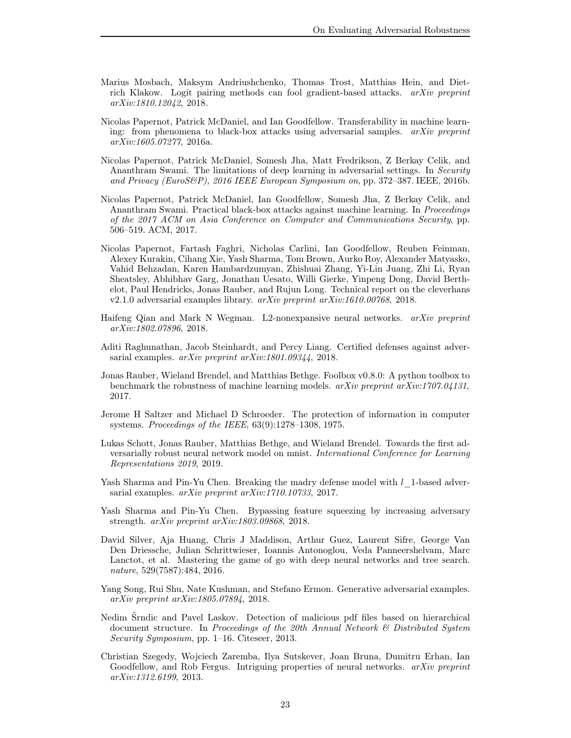- <span id="page-22-2"></span>Marius Mosbach, Maksym Andriushchenko, Thomas Trost, Matthias Hein, and Dietrich Klakow. Logit pairing methods can fool gradient-based attacks. arXiv preprint arXiv:1810.12042, 2018.
- <span id="page-22-14"></span>Nicolas Papernot, Patrick McDaniel, and Ian Goodfellow. Transferability in machine learning: from phenomena to black-box attacks using adversarial samples.  $arXiv$  preprint arXiv:1605.07277, 2016a.
- <span id="page-22-4"></span>Nicolas Papernot, Patrick McDaniel, Somesh Jha, Matt Fredrikson, Z Berkay Celik, and Ananthram Swami. The limitations of deep learning in adversarial settings. In Security and Privacy (EuroS&P), 2016 IEEE European Symposium on, pp. 372–387. IEEE, 2016b.
- <span id="page-22-9"></span>Nicolas Papernot, Patrick McDaniel, Ian Goodfellow, Somesh Jha, Z Berkay Celik, and Ananthram Swami. Practical black-box attacks against machine learning. In Proceedings of the 2017 ACM on Asia Conference on Computer and Communications Security, pp. 506–519. ACM, 2017.
- <span id="page-22-10"></span>Nicolas Papernot, Fartash Faghri, Nicholas Carlini, Ian Goodfellow, Reuben Feinman, Alexey Kurakin, Cihang Xie, Yash Sharma, Tom Brown, Aurko Roy, Alexander Matyasko, Vahid Behzadan, Karen Hambardzumyan, Zhishuai Zhang, Yi-Lin Juang, Zhi Li, Ryan Sheatsley, Abhibhav Garg, Jonathan Uesato, Willi Gierke, Yinpeng Dong, David Berthelot, Paul Hendricks, Jonas Rauber, and Rujun Long. Technical report on the cleverhans v2.1.0 adversarial examples library. arXiv preprint arXiv:1610.00768, 2018.
- <span id="page-22-15"></span>Haifeng Qian and Mark N Wegman. L2-nonexpansive neural networks. arXiv preprint arXiv:1802.07896, 2018.
- <span id="page-22-12"></span>Aditi Raghunathan, Jacob Steinhardt, and Percy Liang. Certified defenses against adversarial examples. *arXiv preprint arXiv:1801.09344*, 2018.
- <span id="page-22-11"></span>Jonas Rauber, Wieland Brendel, and Matthias Bethge. Foolbox v0.8.0: A python toolbox to benchmark the robustness of machine learning models.  $arXiv$  preprint  $arXiv:1707.04131$ , 2017.
- <span id="page-22-6"></span>Jerome H Saltzer and Michael D Schroeder. The protection of information in computer systems. Proceedings of the IEEE, 63(9):1278–1308, 1975.
- <span id="page-22-13"></span>Lukas Schott, Jonas Rauber, Matthias Bethge, and Wieland Brendel. Towards the first adversarially robust neural network model on mnist. International Conference for Learning Representations 2019, 2019.
- <span id="page-22-7"></span>Yash Sharma and Pin-Yu Chen. Breaking the madry defense model with  $l-1$ -based adversarial examples. arXiv preprint arXiv:1710.10733, 2017.
- <span id="page-22-3"></span>Yash Sharma and Pin-Yu Chen. Bypassing feature squeezing by increasing adversary strength. arXiv preprint arXiv:1803.09868, 2018.
- <span id="page-22-5"></span>David Silver, Aja Huang, Chris J Maddison, Arthur Guez, Laurent Sifre, George Van Den Driessche, Julian Schrittwieser, Ioannis Antonoglou, Veda Panneershelvam, Marc Lanctot, et al. Mastering the game of go with deep neural networks and tree search. nature, 529(7587):484, 2016.
- <span id="page-22-8"></span>Yang Song, Rui Shu, Nate Kushman, and Stefano Ermon. Generative adversarial examples. arXiv preprint arXiv:1805.07894, 2018.
- <span id="page-22-1"></span>Nedim Šrndic and Pavel Laskov. Detection of malicious pdf files based on hierarchical document structure. In Proceedings of the 20th Annual Network & Distributed System Security Symposium, pp. 1–16. Citeseer, 2013.
- <span id="page-22-0"></span>Christian Szegedy, Wojciech Zaremba, Ilya Sutskever, Joan Bruna, Dumitru Erhan, Ian Goodfellow, and Rob Fergus. Intriguing properties of neural networks. arXiv preprint arXiv:1312.6199, 2013.